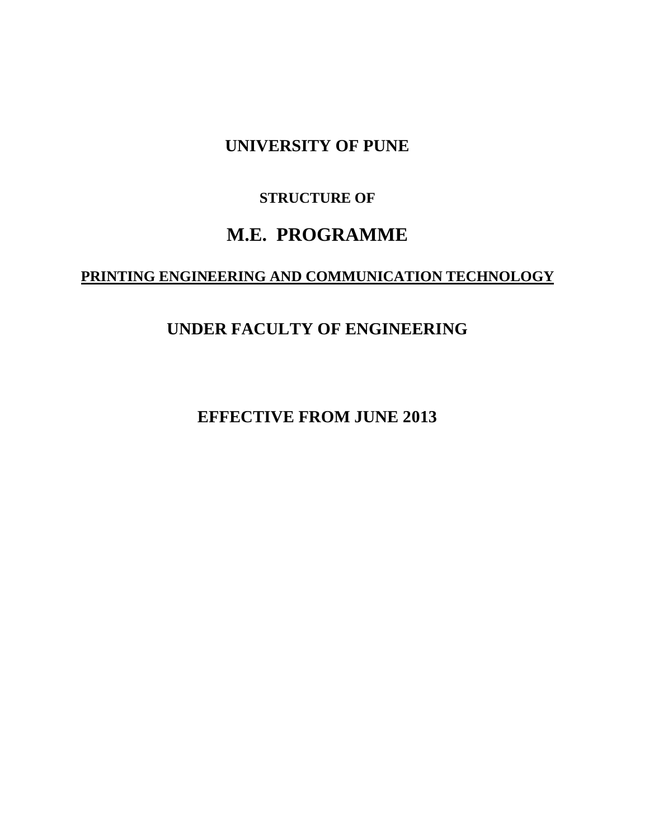# **UNIVERSITY OF PUNE**

## **STRUCTURE OF**

# **M.E. PROGRAMME**

# **PRINTING ENGINEERING AND COMMUNICATION TECHNOLOGY**

# **UNDER FACULTY OF ENGINEERING**

**EFFECTIVE FROM JUNE 2013**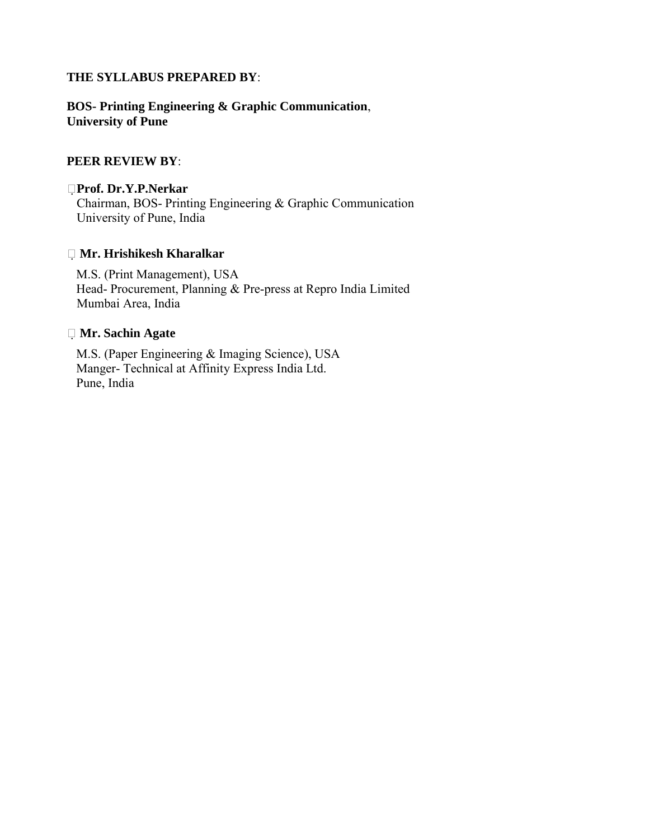## **THE SYLLABUS PREPARED BY**:

## **BOS- Printing Engineering & Graphic Communication**, **University of Pune**

## **PEER REVIEW BY**:

## **Prof. Dr.Y.P.Nerkar**

Chairman, BOS- Printing Engineering & Graphic Communication University of Pune, India

## **Mr. Hrishikesh Kharalkar**

M.S. (Print Management), USA Head- Procurement, Planning & Pre-press at Repro India Limited Mumbai Area, India

## **Mr. Sachin Agate**

M.S. (Paper Engineering & Imaging Science), USA Manger- Technical at Affinity Express India Ltd. Pune, India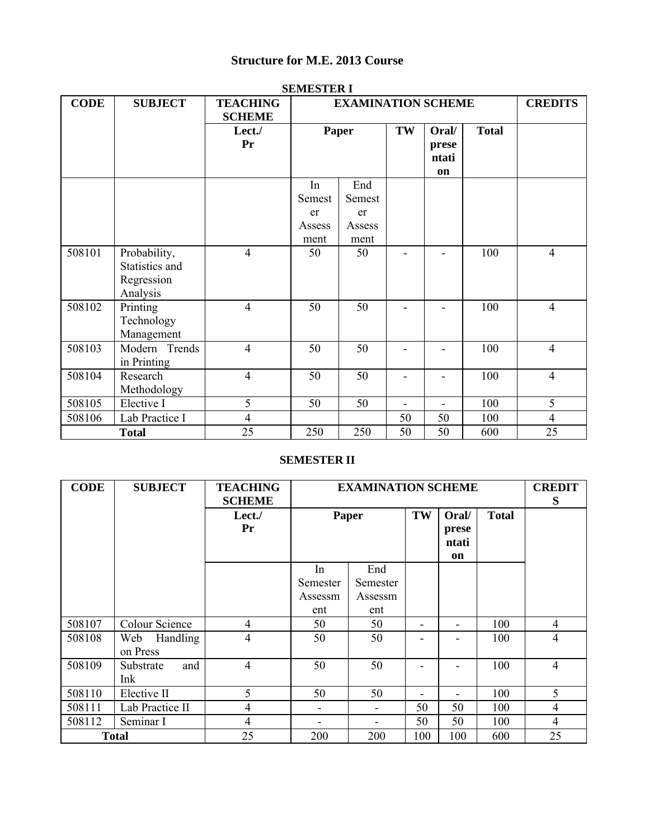## **Structure for M.E. 2013 Course**

| SEMESTER I  |                |                 |        |                           |    |                          |              |                |
|-------------|----------------|-----------------|--------|---------------------------|----|--------------------------|--------------|----------------|
| <b>CODE</b> | <b>SUBJECT</b> | <b>TEACHING</b> |        | <b>EXAMINATION SCHEME</b> |    |                          |              | <b>CREDITS</b> |
|             |                | <b>SCHEME</b>   |        |                           |    |                          |              |                |
|             |                | Lect./          |        | Paper                     | TW | Oral/                    | <b>Total</b> |                |
|             |                | Pr              |        |                           |    | prese                    |              |                |
|             |                |                 |        |                           |    | ntati                    |              |                |
|             |                |                 |        |                           |    | on                       |              |                |
|             |                |                 | In     | End                       |    |                          |              |                |
|             |                |                 | Semest | Semest                    |    |                          |              |                |
|             |                |                 | er     | er                        |    |                          |              |                |
|             |                |                 | Assess | Assess                    |    |                          |              |                |
|             |                |                 | ment   | ment                      |    |                          |              |                |
| 508101      | Probability,   | $\overline{4}$  | 50     | 50                        |    |                          | 100          | $\overline{4}$ |
|             | Statistics and |                 |        |                           |    |                          |              |                |
|             | Regression     |                 |        |                           |    |                          |              |                |
|             | Analysis       |                 |        |                           |    |                          |              |                |
| 508102      | Printing       | $\overline{4}$  | 50     | 50                        |    | Ξ.                       | 100          | $\overline{4}$ |
|             | Technology     |                 |        |                           |    |                          |              |                |
|             | Management     |                 |        |                           |    |                          |              |                |
| 508103      | Modern Trends  | $\overline{4}$  | 50     | 50                        |    | $\overline{\phantom{a}}$ | 100          | $\overline{4}$ |
|             | in Printing    |                 |        |                           |    |                          |              |                |
| 508104      | Research       | $\overline{4}$  | 50     | 50                        |    |                          | 100          | $\overline{4}$ |
|             | Methodology    |                 |        |                           |    |                          |              |                |
| 508105      | Elective I     | 5               | 50     | 50                        |    | $\blacksquare$           | 100          | 5              |
| 508106      | Lab Practice I | $\overline{4}$  |        |                           | 50 | 50                       | 100          | $\overline{4}$ |
|             | <b>Total</b>   | 25              | 250    | 250                       | 50 | 50                       | 600          | 25             |

#### **SEMESTER I**

#### **SEMESTER II**

| <b>CODE</b> | <b>SUBJECT</b>              | <b>TEACHING</b><br><b>SCHEME</b> |                          | <b>EXAMINATION SCHEME</b> |                          |                               |              | <b>CREDIT</b><br>S |
|-------------|-----------------------------|----------------------------------|--------------------------|---------------------------|--------------------------|-------------------------------|--------------|--------------------|
|             |                             | Lect./<br>Pr                     | Paper                    |                           | TW                       | Oral/<br>prese<br>ntati<br>on | <b>Total</b> |                    |
|             |                             |                                  | In<br>Semester           | End<br>Semester           |                          |                               |              |                    |
|             |                             |                                  | Assessm<br>ent           | Assessm<br>ent            |                          |                               |              |                    |
| 508107      | <b>Colour Science</b>       | $\overline{4}$                   | 50                       | 50                        |                          |                               | 100          | 4                  |
| 508108      | Handling<br>Web<br>on Press | $\overline{4}$                   | 50                       | 50                        |                          |                               | 100          | $\overline{4}$     |
| 508109      | and<br>Substrate<br>Ink     | $\overline{4}$                   | 50                       | 50                        |                          |                               | 100          | $\overline{4}$     |
| 508110      | Elective II                 | 5                                | 50                       | 50                        | $\overline{\phantom{0}}$ | $\overline{\phantom{0}}$      | 100          | 5                  |
| 508111      | Lab Practice II             | $\overline{4}$                   | $\overline{\phantom{a}}$ |                           | 50                       | 50                            | 100          | $\overline{4}$     |
| 508112      | Seminar I                   | $\overline{4}$                   |                          |                           | 50                       | 50                            | 100          | $\overline{4}$     |
|             | <b>Total</b>                | 25                               | 200                      | 200                       | 100                      | 100                           | 600          | 25                 |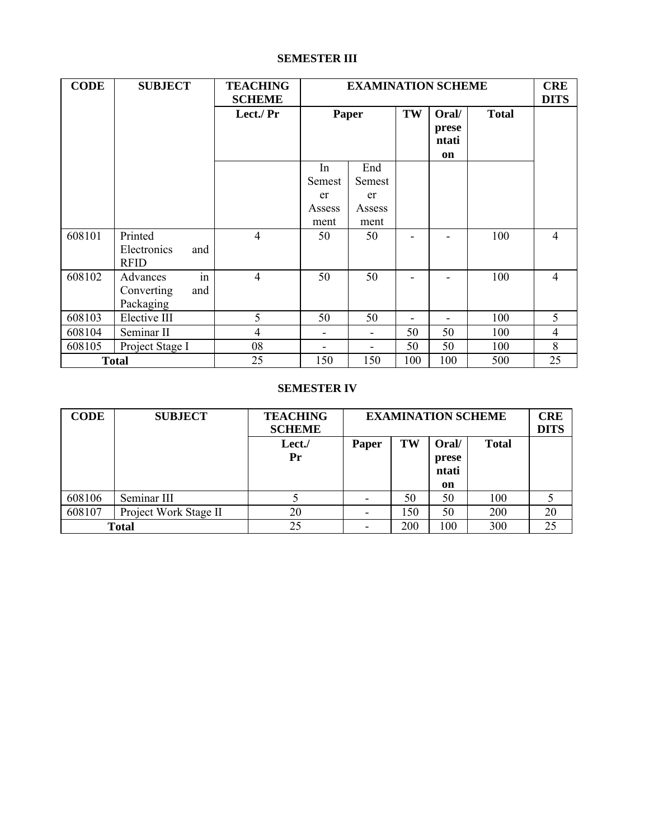#### **SEMESTER III**

| <b>CODE</b> | <b>SUBJECT</b>     | <b>TEACHING</b> |        | <b>EXAMINATION SCHEME</b> |     |       | <b>CRE</b>   |                |
|-------------|--------------------|-----------------|--------|---------------------------|-----|-------|--------------|----------------|
|             |                    | <b>SCHEME</b>   |        |                           |     |       |              | <b>DITS</b>    |
|             |                    | Lect./ Pr       |        | Paper                     | TW  | Oral/ | <b>Total</b> |                |
|             |                    |                 |        |                           |     | prese |              |                |
|             |                    |                 |        |                           |     | ntati |              |                |
|             |                    |                 |        |                           |     | on    |              |                |
|             |                    |                 | In     | End                       |     |       |              |                |
|             |                    |                 | Semest | Semest                    |     |       |              |                |
|             |                    |                 | er     | er                        |     |       |              |                |
|             |                    |                 | Assess | Assess                    |     |       |              |                |
|             |                    |                 | ment   | ment                      |     |       |              |                |
| 608101      | Printed            | $\overline{4}$  | 50     | 50                        |     |       | 100          | $\overline{4}$ |
|             | Electronics<br>and |                 |        |                           |     |       |              |                |
|             | <b>RFID</b>        |                 |        |                           |     |       |              |                |
| 608102      | in<br>Advances     | $\overline{4}$  | 50     | 50                        |     |       | 100          | $\overline{4}$ |
|             | Converting<br>and  |                 |        |                           |     |       |              |                |
|             | Packaging          |                 |        |                           |     |       |              |                |
| 608103      | Elective III       | 5               | 50     | 50                        |     |       | 100          | 5              |
| 608104      | Seminar II         | $\overline{4}$  | ۰      | ۰                         | 50  | 50    | 100          | $\overline{4}$ |
| 608105      | Project Stage I    | 08              |        | ۰                         | 50  | 50    | 100          | 8              |
|             | <b>Total</b>       | 25              | 150    | 150                       | 100 | 100   | 500          | 25             |

#### **SEMESTER IV**

| <b>CODE</b> | <b>SUBJECT</b>        | <b>TEACHING</b><br><b>SCHEME</b> | <b>EXAMINATION SCHEME</b> |     |                               | <b>CRE</b><br><b>DITS</b> |    |
|-------------|-----------------------|----------------------------------|---------------------------|-----|-------------------------------|---------------------------|----|
|             |                       | Lect./<br>Pr                     | Paper                     | TW  | Oral/<br>prese<br>ntati<br>on | <b>Total</b>              |    |
| 608106      | Seminar III           |                                  |                           | 50  | 50                            | 100                       |    |
| 608107      | Project Work Stage II | 20                               |                           | 150 | 50                            | 200                       | 20 |
|             | <b>Total</b>          | 25                               |                           | 200 | 100                           | 300                       | 25 |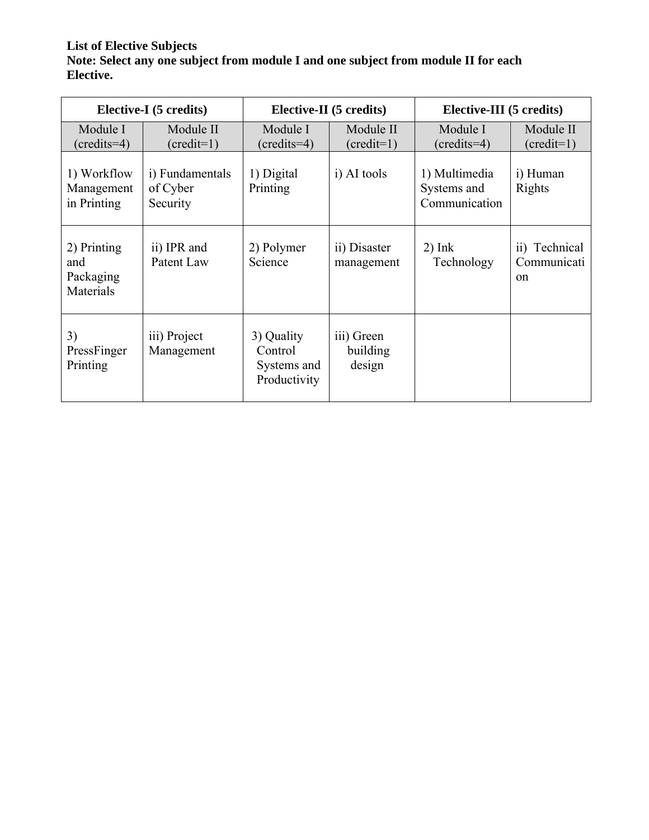## **List of Elective Subjects Note: Select any one subject from module I and one subject from module II for each Elective.**

|                                              | Elective-I (5 credits)                  |                                                      | Elective-II (5 credits)          | Elective-III (5 credits)                      |                                         |  |
|----------------------------------------------|-----------------------------------------|------------------------------------------------------|----------------------------------|-----------------------------------------------|-----------------------------------------|--|
| Module I<br>$({\rm credits=4})$              | Module II<br>$(credit=1)$               | Module I<br>$({\rm credits=4})$                      | Module II<br>$(credit=1)$        | Module I<br>$({\rm credits=4})$               | Module II<br>$(credit=1)$               |  |
| 1) Workflow<br>Management<br>in Printing     | i) Fundamentals<br>of Cyber<br>Security | 1) Digital<br>Printing                               | i) AI tools                      | 1) Multimedia<br>Systems and<br>Communication | i) Human<br>Rights                      |  |
| 2) Printing<br>and<br>Packaging<br>Materials | ii) IPR and<br>Patent Law               | 2) Polymer<br>Science                                | ii) Disaster<br>management       | $2)$ Ink<br>Technology                        | ii) Technical<br>Communicati<br>$^{on}$ |  |
| 3)<br>PressFinger<br>Printing                | iii) Project<br>Management              | 3) Quality<br>Control<br>Systems and<br>Productivity | iii) Green<br>building<br>design |                                               |                                         |  |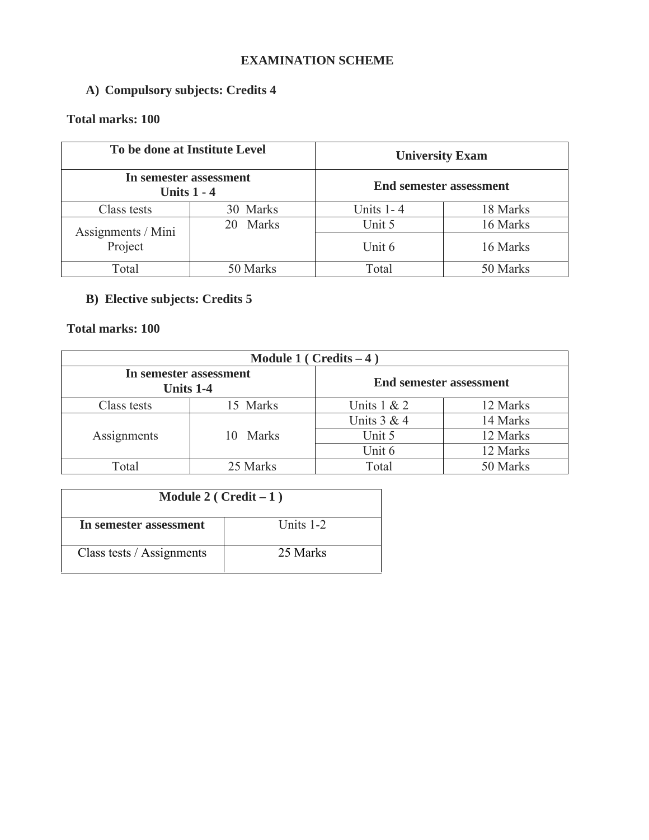## **EXAMINATION SCHEME**

## **A) Compulsory subjects: Credits 4**

## **Total marks: 100**

| To be done at Institute Level |                        |                                | <b>University Exam</b> |  |
|-------------------------------|------------------------|--------------------------------|------------------------|--|
| Units $1 - 4$                 | In semester assessment | <b>End semester assessment</b> |                        |  |
| Class tests                   | 30 Marks               | Units $1 - 4$                  | 18 Marks               |  |
| Assignments / Mini            | Marks<br>20            | Unit 5                         | 16 Marks               |  |
| Project                       |                        | Unit 6                         | 16 Marks               |  |
| Total                         | 50 Marks               | Total                          | 50 Marks               |  |

## **B) Elective subjects: Credits 5**

## **Total marks: 100**

| Module 1 ( $Credits - 4$ )          |          |                                |          |  |
|-------------------------------------|----------|--------------------------------|----------|--|
| In semester assessment<br>Units 1-4 |          | <b>End semester assessment</b> |          |  |
| Class tests                         | 15 Marks | Units $1 & 2$                  | 12 Marks |  |
|                                     |          | Units $3 & 4$                  | 14 Marks |  |
| Assignments                         | 10 Marks | Unit 5                         | 12 Marks |  |
|                                     |          | Unit 6                         | 12 Marks |  |
| Total                               | 25 Marks | Total                          | 50 Marks |  |

| Module 2 ( $Credit-1$ )   |             |  |  |  |
|---------------------------|-------------|--|--|--|
| In semester assessment    | Units $1-2$ |  |  |  |
| Class tests / Assignments | 25 Marks    |  |  |  |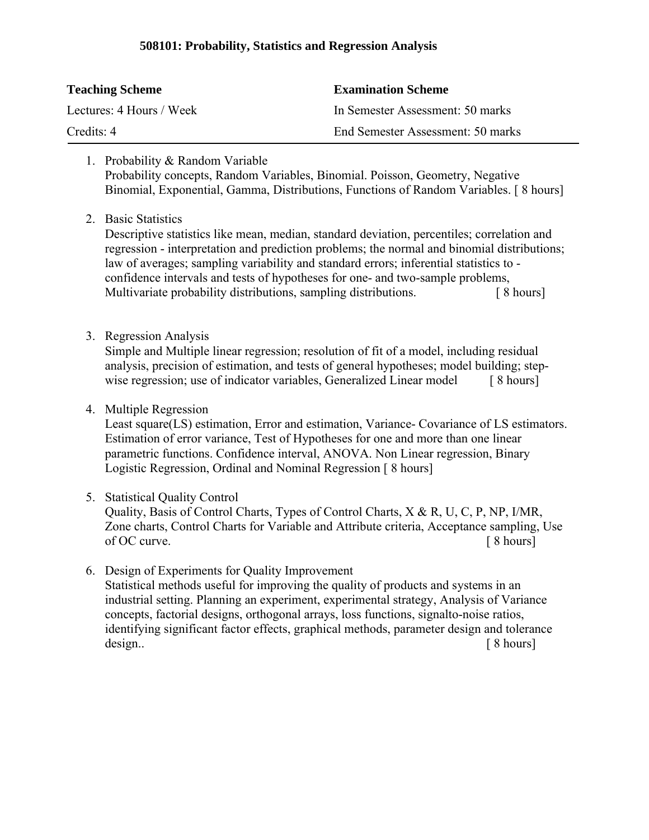## **508101: Probability, Statistics and Regression Analysis**

| <b>Teaching Scheme</b>   | <b>Examination Scheme</b>         |
|--------------------------|-----------------------------------|
| Lectures: 4 Hours / Week | In Semester Assessment: 50 marks  |
| Credits: 4               | End Semester Assessment: 50 marks |

- 1. Probability & Random Variable Probability concepts, Random Variables, Binomial. Poisson, Geometry, Negative Binomial, Exponential, Gamma, Distributions, Functions of Random Variables. [ 8 hours]
- 2. Basic Statistics

Descriptive statistics like mean, median, standard deviation, percentiles; correlation and regression - interpretation and prediction problems; the normal and binomial distributions; law of averages; sampling variability and standard errors; inferential statistics to confidence intervals and tests of hypotheses for one- and two-sample problems, Multivariate probability distributions, sampling distributions.  $\begin{bmatrix} 8 \text{ hours} \end{bmatrix}$ 

3. Regression Analysis

Simple and Multiple linear regression; resolution of fit of a model, including residual analysis, precision of estimation, and tests of general hypotheses; model building; stepwise regression; use of indicator variables, Generalized Linear model [ 8 hours]

4. Multiple Regression

Least square(LS) estimation, Error and estimation, Variance- Covariance of LS estimators. Estimation of error variance, Test of Hypotheses for one and more than one linear parametric functions. Confidence interval, ANOVA. Non Linear regression, Binary Logistic Regression, Ordinal and Nominal Regression [ 8 hours]

5. Statistical Quality Control

Quality, Basis of Control Charts, Types of Control Charts, X & R, U, C, P, NP, I/MR, Zone charts, Control Charts for Variable and Attribute criteria, Acceptance sampling, Use of OC curve. [ 8 hours]

6. Design of Experiments for Quality Improvement Statistical methods useful for improving the quality of products and systems in an industrial setting. Planning an experiment, experimental strategy, Analysis of Variance concepts, factorial designs, orthogonal arrays, loss functions, signalto-noise ratios, identifying significant factor effects, graphical methods, parameter design and tolerance design.. [8 hours]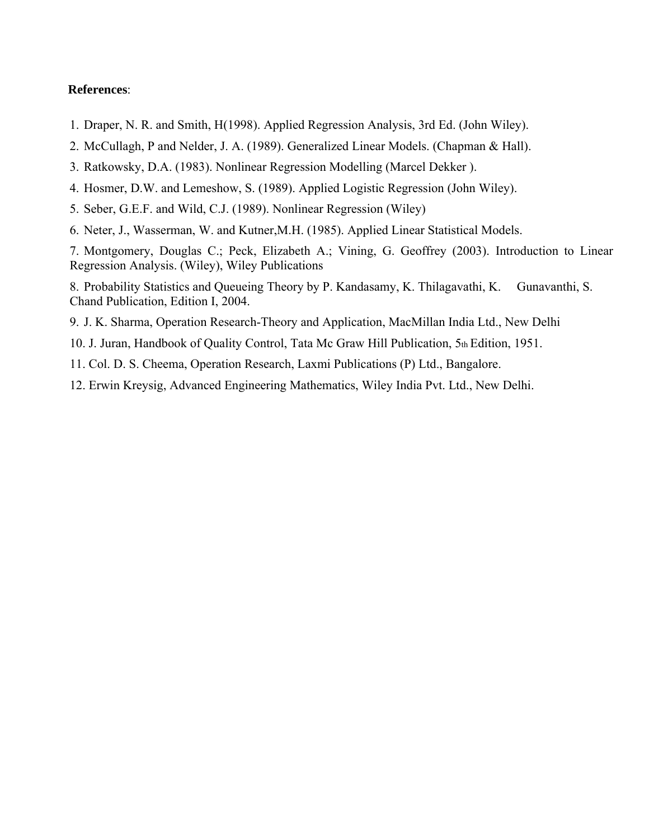- 1. Draper, N. R. and Smith, H(1998). Applied Regression Analysis, 3rd Ed. (John Wiley).
- 2. McCullagh, P and Nelder, J. A. (1989). Generalized Linear Models. (Chapman & Hall).
- 3. Ratkowsky, D.A. (1983). Nonlinear Regression Modelling (Marcel Dekker ).
- 4. Hosmer, D.W. and Lemeshow, S. (1989). Applied Logistic Regression (John Wiley).
- 5. Seber, G.E.F. and Wild, C.J. (1989). Nonlinear Regression (Wiley)
- 6. Neter, J., Wasserman, W. and Kutner,M.H. (1985). Applied Linear Statistical Models.

7. Montgomery, Douglas C.; Peck, Elizabeth A.; Vining, G. Geoffrey (2003). Introduction to Linear Regression Analysis. (Wiley), Wiley Publications

8. Probability Statistics and Queueing Theory by P. Kandasamy, K. Thilagavathi, K. Gunavanthi, S. Chand Publication, Edition I, 2004.

- 9. J. K. Sharma, Operation Research-Theory and Application, MacMillan India Ltd., New Delhi
- 10. J. Juran, Handbook of Quality Control, Tata Mc Graw Hill Publication, 5th Edition, 1951.
- 11. Col. D. S. Cheema, Operation Research, Laxmi Publications (P) Ltd., Bangalore.
- 12. Erwin Kreysig, Advanced Engineering Mathematics, Wiley India Pvt. Ltd., New Delhi.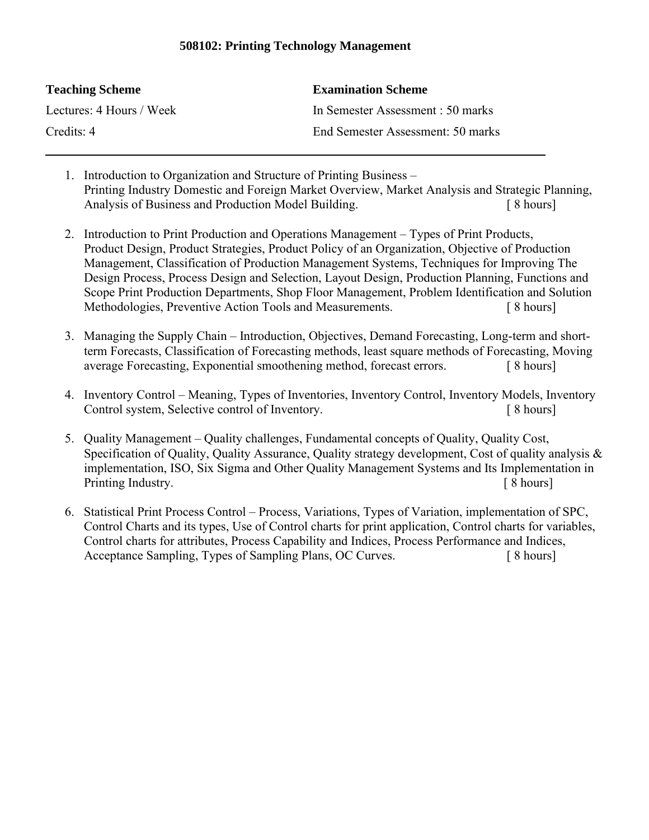## **508102: Printing Technology Management**

| <b>Teaching Scheme</b>   | <b>Examination Scheme</b>         |
|--------------------------|-----------------------------------|
| Lectures: 4 Hours / Week | In Semester Assessment : 50 marks |
| Credits: 4               | End Semester Assessment: 50 marks |

- 1. Introduction to Organization and Structure of Printing Business Printing Industry Domestic and Foreign Market Overview, Market Analysis and Strategic Planning, Analysis of Business and Production Model Building. [ 8 hours]
- 2. Introduction to Print Production and Operations Management Types of Print Products, Product Design, Product Strategies, Product Policy of an Organization, Objective of Production Management, Classification of Production Management Systems, Techniques for Improving The Design Process, Process Design and Selection, Layout Design, Production Planning, Functions and Scope Print Production Departments, Shop Floor Management, Problem Identification and Solution Methodologies, Preventive Action Tools and Measurements. [ 8 hours]
- 3. Managing the Supply Chain Introduction, Objectives, Demand Forecasting, Long-term and shortterm Forecasts, Classification of Forecasting methods, least square methods of Forecasting, Moving average Forecasting, Exponential smoothening method, forecast errors. [ 8 hours]
- 4. Inventory Control Meaning, Types of Inventories, Inventory Control, Inventory Models, Inventory Control system, Selective control of Inventory. [ 8 hours]
- 5. Quality Management Quality challenges, Fundamental concepts of Quality, Quality Cost, Specification of Quality, Quality Assurance, Quality strategy development, Cost of quality analysis & implementation, ISO, Six Sigma and Other Quality Management Systems and Its Implementation in Printing Industry.  $\lceil 8 \text{ hours} \rceil$
- 6. Statistical Print Process Control Process, Variations, Types of Variation, implementation of SPC, Control Charts and its types, Use of Control charts for print application, Control charts for variables, Control charts for attributes, Process Capability and Indices, Process Performance and Indices, Acceptance Sampling, Types of Sampling Plans, OC Curves. [ 8 hours]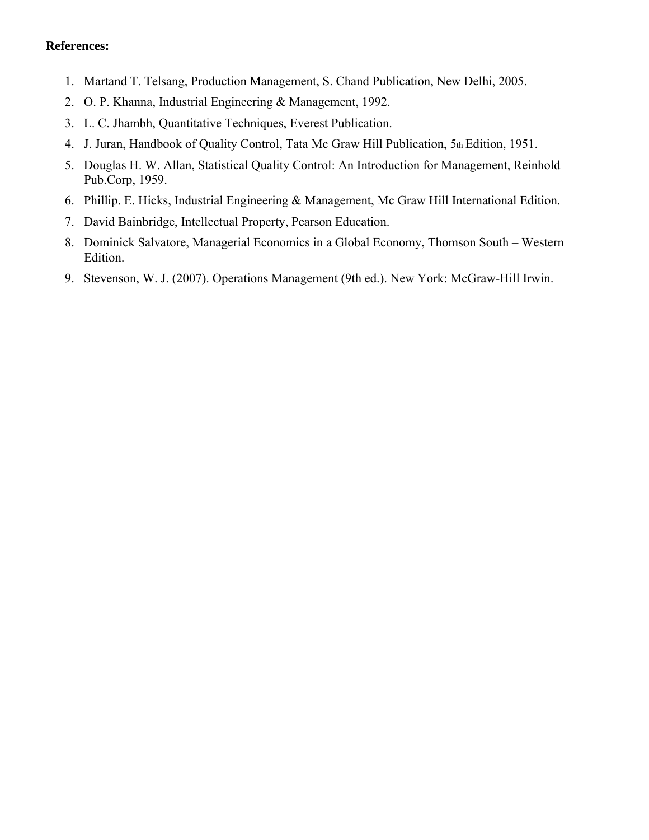- 1. Martand T. Telsang, Production Management, S. Chand Publication, New Delhi, 2005.
- 2. O. P. Khanna, Industrial Engineering & Management, 1992.
- 3. L. C. Jhambh, Quantitative Techniques, Everest Publication.
- 4. J. Juran, Handbook of Quality Control, Tata Mc Graw Hill Publication, 5th Edition, 1951.
- 5. Douglas H. W. Allan, Statistical Quality Control: An Introduction for Management, Reinhold Pub.Corp, 1959.
- 6. Phillip. E. Hicks, Industrial Engineering & Management, Mc Graw Hill International Edition.
- 7. David Bainbridge, Intellectual Property, Pearson Education.
- 8. Dominick Salvatore, Managerial Economics in a Global Economy, Thomson South Western Edition.
- 9. Stevenson, W. J. (2007). Operations Management (9th ed.). New York: McGraw-Hill Irwin.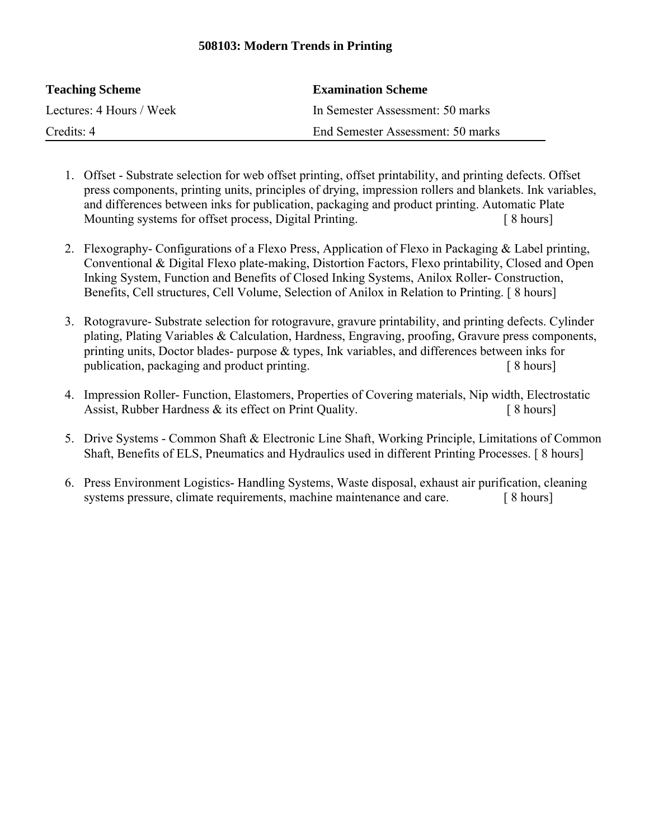## **508103: Modern Trends in Printing**

| <b>Teaching Scheme</b>   | <b>Examination Scheme</b>         |
|--------------------------|-----------------------------------|
| Lectures: 4 Hours / Week | In Semester Assessment: 50 marks  |
| Credits: 4               | End Semester Assessment: 50 marks |

- 1. Offset Substrate selection for web offset printing, offset printability, and printing defects. Offset press components, printing units, principles of drying, impression rollers and blankets. Ink variables, and differences between inks for publication, packaging and product printing. Automatic Plate Mounting systems for offset process, Digital Printing. [ 8 hours]
- 2. Flexography- Configurations of a Flexo Press, Application of Flexo in Packaging & Label printing, Conventional & Digital Flexo plate-making, Distortion Factors, Flexo printability, Closed and Open Inking System, Function and Benefits of Closed Inking Systems, Anilox Roller- Construction, Benefits, Cell structures, Cell Volume, Selection of Anilox in Relation to Printing. [ 8 hours]
- 3. Rotogravure- Substrate selection for rotogravure, gravure printability, and printing defects. Cylinder plating, Plating Variables & Calculation, Hardness, Engraving, proofing, Gravure press components, printing units, Doctor blades- purpose & types, Ink variables, and differences between inks for publication, packaging and product printing. [ 8 hours]
- 4. Impression Roller- Function, Elastomers, Properties of Covering materials, Nip width, Electrostatic Assist, Rubber Hardness & its effect on Print Quality. [ 8 hours]
- 5. Drive Systems Common Shaft & Electronic Line Shaft, Working Principle, Limitations of Common Shaft, Benefits of ELS, Pneumatics and Hydraulics used in different Printing Processes. [ 8 hours]
- 6. Press Environment Logistics- Handling Systems, Waste disposal, exhaust air purification, cleaning systems pressure, climate requirements, machine maintenance and care. [8 hours]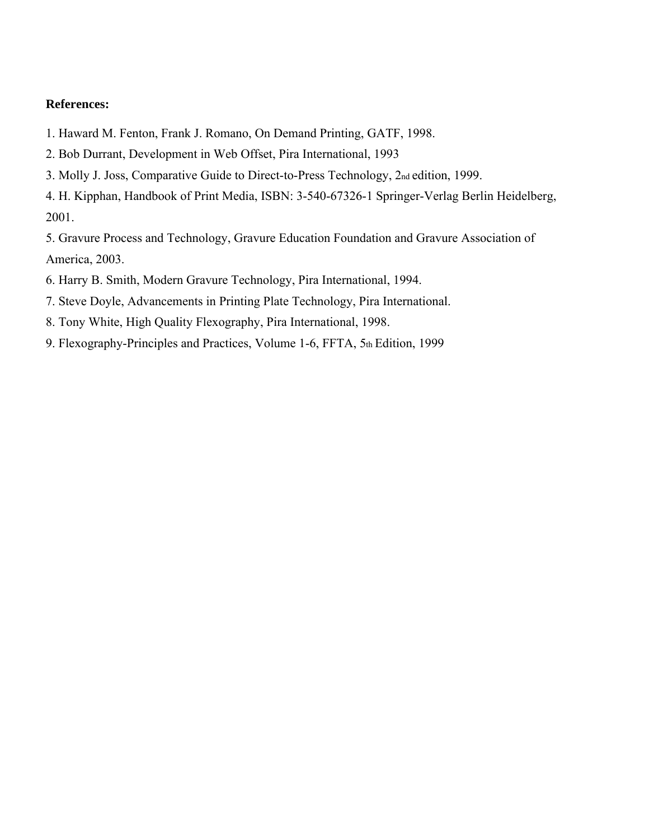- 1. Haward M. Fenton, Frank J. Romano, On Demand Printing, GATF, 1998.
- 2. Bob Durrant, Development in Web Offset, Pira International, 1993
- 3. Molly J. Joss, Comparative Guide to Direct-to-Press Technology, 2nd edition, 1999.
- 4. H. Kipphan, Handbook of Print Media, ISBN: 3-540-67326-1 Springer-Verlag Berlin Heidelberg, 2001.

5. Gravure Process and Technology, Gravure Education Foundation and Gravure Association of America, 2003.

- 6. Harry B. Smith, Modern Gravure Technology, Pira International, 1994.
- 7. Steve Doyle, Advancements in Printing Plate Technology, Pira International.
- 8. Tony White, High Quality Flexography, Pira International, 1998.
- 9. Flexography-Principles and Practices, Volume 1-6, FFTA, 5th Edition, 1999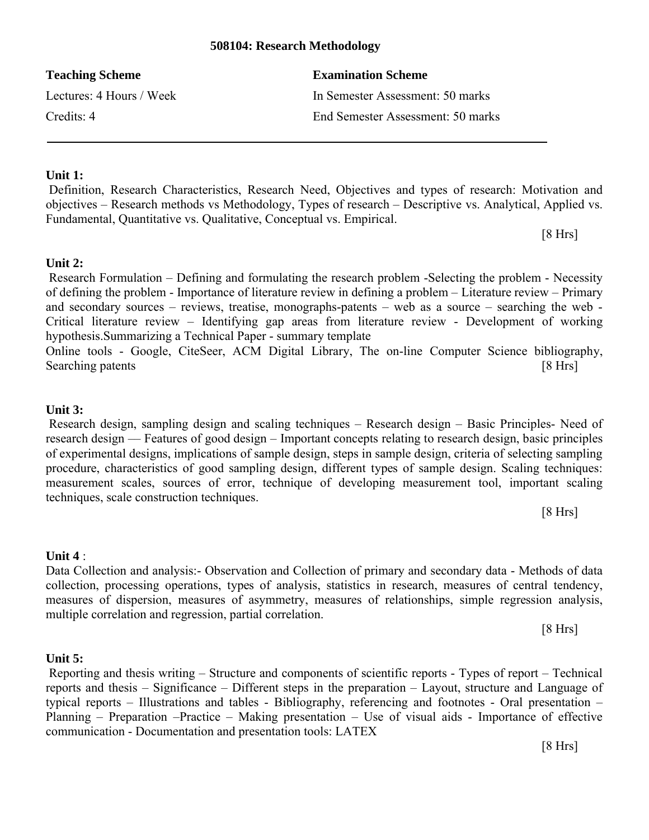## **508104: Research Methodology**

| <b>Teaching Scheme</b>   | <b>Examination Scheme</b>         |
|--------------------------|-----------------------------------|
| Lectures: 4 Hours / Week | In Semester Assessment: 50 marks  |
| Credits: 4               | End Semester Assessment: 50 marks |

## **Unit 1:**

Definition, Research Characteristics, Research Need, Objectives and types of research: Motivation and objectives – Research methods vs Methodology, Types of research – Descriptive vs. Analytical, Applied vs. Fundamental, Quantitative vs. Qualitative, Conceptual vs. Empirical.

[8 Hrs]

## **Unit 2:**

Research Formulation – Defining and formulating the research problem -Selecting the problem - Necessity of defining the problem - Importance of literature review in defining a problem – Literature review – Primary and secondary sources – reviews, treatise, monographs-patents – web as a source – searching the web - Critical literature review – Identifying gap areas from literature review - Development of working hypothesis.Summarizing a Technical Paper - summary template Online tools - Google, CiteSeer, ACM Digital Library, The on-line Computer Science bibliography,

Searching patents [8 Hrs]

## **Unit 3:**

Research design, sampling design and scaling techniques – Research design – Basic Principles- Need of research design –– Features of good design – Important concepts relating to research design, basic principles of experimental designs, implications of sample design, steps in sample design, criteria of selecting sampling procedure, characteristics of good sampling design, different types of sample design. Scaling techniques: measurement scales, sources of error, technique of developing measurement tool, important scaling techniques, scale construction techniques.

[8 Hrs]

## **Unit 4** :

Data Collection and analysis:- Observation and Collection of primary and secondary data - Methods of data collection, processing operations, types of analysis, statistics in research, measures of central tendency, measures of dispersion, measures of asymmetry, measures of relationships, simple regression analysis, multiple correlation and regression, partial correlation.

[8 Hrs]

## **Unit 5:**

Reporting and thesis writing – Structure and components of scientific reports - Types of report – Technical reports and thesis – Significance – Different steps in the preparation – Layout, structure and Language of typical reports – Illustrations and tables - Bibliography, referencing and footnotes - Oral presentation – Planning – Preparation –Practice – Making presentation – Use of visual aids - Importance of effective communication - Documentation and presentation tools: LATEX

[8 Hrs]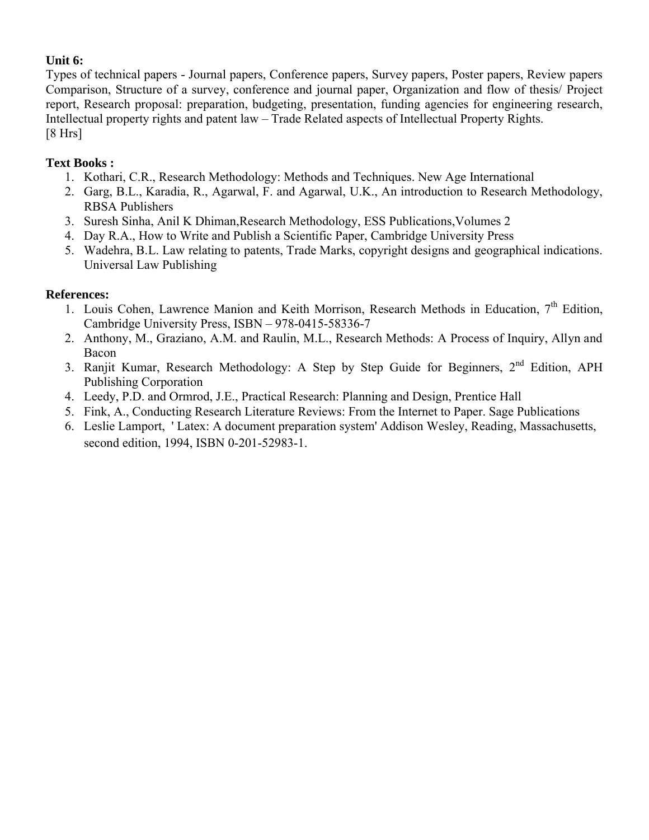## **Unit 6:**

Types of technical papers - Journal papers, Conference papers, Survey papers, Poster papers, Review papers Comparison, Structure of a survey, conference and journal paper, Organization and flow of thesis/ Project report, Research proposal: preparation, budgeting, presentation, funding agencies for engineering research, Intellectual property rights and patent law – Trade Related aspects of Intellectual Property Rights. [8 Hrs]

## **Text Books :**

- 1. Kothari, C.R., Research Methodology: Methods and Techniques. New Age International
- 2. Garg, B.L., Karadia, R., Agarwal, F. and Agarwal, U.K., An introduction to Research Methodology, RBSA Publishers
- 3. Suresh Sinha, Anil K Dhiman,Research Methodology, ESS Publications,Volumes 2
- 4. Day R.A., How to Write and Publish a Scientific Paper, Cambridge University Press
- 5. Wadehra, B.L. Law relating to patents, Trade Marks, copyright designs and geographical indications. Universal Law Publishing

## **References:**

- 1. Louis Cohen, Lawrence Manion and Keith Morrison, Research Methods in Education, 7<sup>th</sup> Edition, Cambridge University Press, ISBN – 978-0415-58336-7
- 2. Anthony, M., Graziano, A.M. and Raulin, M.L., Research Methods: A Process of Inquiry, Allyn and Bacon
- 3. Ranjit Kumar, Research Methodology: A Step by Step Guide for Beginners, 2<sup>nd</sup> Edition, APH Publishing Corporation
- 4. Leedy, P.D. and Ormrod, J.E., Practical Research: Planning and Design, Prentice Hall
- 5. Fink, A., Conducting Research Literature Reviews: From the Internet to Paper. Sage Publications
- 6. Leslie Lamport, ' Latex: A document preparation system' Addison Wesley, Reading, Massachusetts, second edition, 1994, ISBN 0-201-52983-1.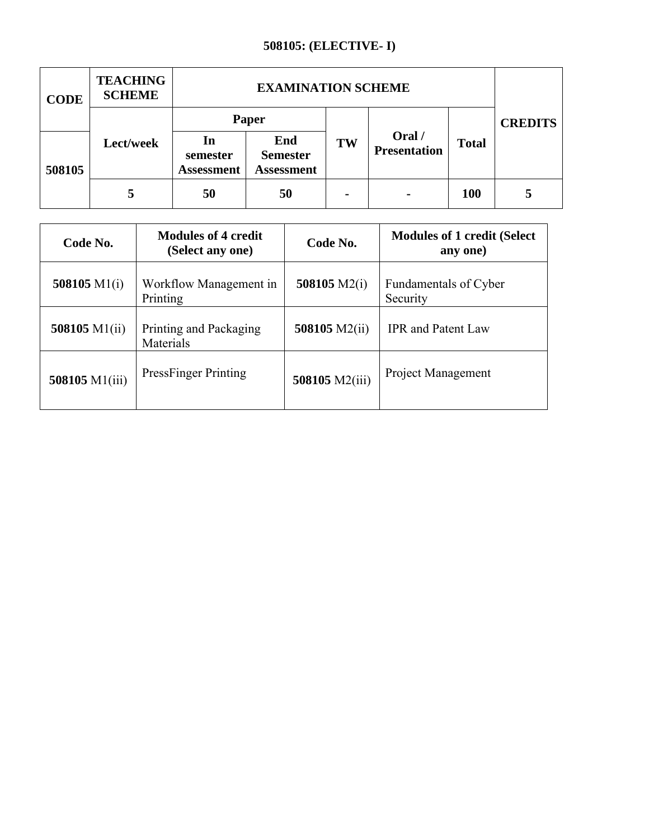## **508105: (ELECTIVE- I)**

| <b>CODE</b> | <b>TEACHING</b><br><b>SCHEME</b> | <b>EXAMINATION SCHEME</b>           |                                             |                |                               |              |                |
|-------------|----------------------------------|-------------------------------------|---------------------------------------------|----------------|-------------------------------|--------------|----------------|
|             |                                  | Paper                               |                                             |                |                               |              | <b>CREDITS</b> |
| 508105      | Lect/week                        | In<br>semester<br><b>Assessment</b> | End<br><b>Semester</b><br><b>Assessment</b> | TW             | Oral /<br><b>Presentation</b> | <b>Total</b> |                |
|             | 5                                | 50                                  | 50                                          | $\blacksquare$ | $\blacksquare$                | <b>100</b>   | 5              |

| Code No.                                      | <b>Modules of 4 credit</b><br>(Select any one) | Code No.       | <b>Modules of 1 credit (Select</b> )<br>any one) |  |
|-----------------------------------------------|------------------------------------------------|----------------|--------------------------------------------------|--|
| 508105 $M1(i)$                                | Workflow Management in<br>Printing             | 508105 $M2(i)$ | Fundamentals of Cyber<br>Security                |  |
| 508105 $M1(ii)$                               | Printing and Packaging<br>Materials            | 508105 M2(ii)  | <b>IPR</b> and Patent Law                        |  |
| <b>PressFinger Printing</b><br>508105 M1(iii) |                                                | 508105 M2(iii) | <b>Project Management</b>                        |  |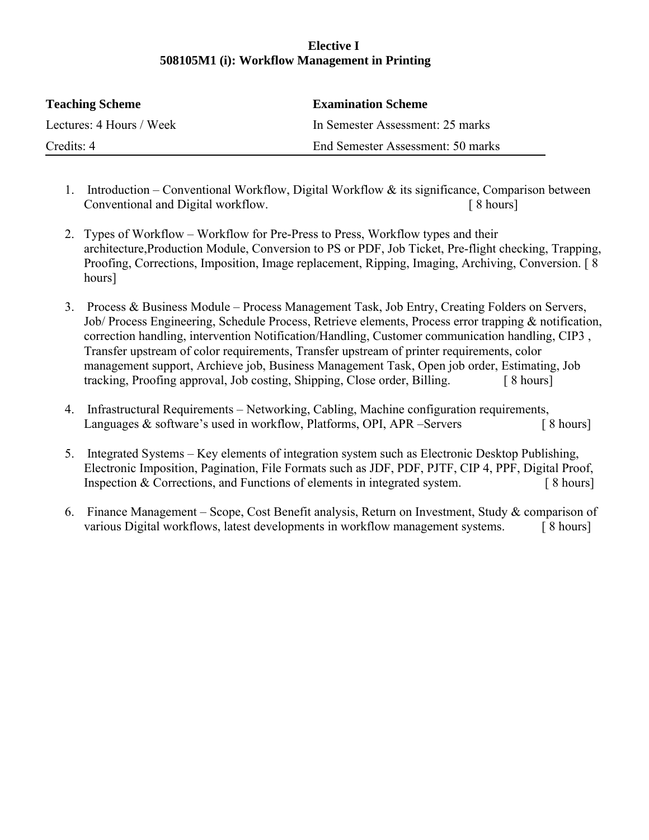## **Elective I 508105M1 (i): Workflow Management in Printing**

| <b>Teaching Scheme</b>   | <b>Examination Scheme</b>         |
|--------------------------|-----------------------------------|
| Lectures: 4 Hours / Week | In Semester Assessment: 25 marks  |
| Credits: 4               | End Semester Assessment: 50 marks |

- 1. Introduction Conventional Workflow, Digital Workflow & its significance, Comparison between Conventional and Digital workflow. [ 8 hours]
- 2. Types of Workflow Workflow for Pre-Press to Press, Workflow types and their architecture,Production Module, Conversion to PS or PDF, Job Ticket, Pre-flight checking, Trapping, Proofing, Corrections, Imposition, Image replacement, Ripping, Imaging, Archiving, Conversion. [ 8 hours]
- 3. Process & Business Module Process Management Task, Job Entry, Creating Folders on Servers, Job/ Process Engineering, Schedule Process, Retrieve elements, Process error trapping & notification, correction handling, intervention Notification/Handling, Customer communication handling, CIP3 , Transfer upstream of color requirements, Transfer upstream of printer requirements, color management support, Archieve job, Business Management Task, Open job order, Estimating, Job tracking, Proofing approval, Job costing, Shipping, Close order, Billing. [ 8 hours]
- 4. Infrastructural Requirements Networking, Cabling, Machine configuration requirements, Languages & software's used in workflow, Platforms, OPI, APR –Servers [ 8 hours]
- 5. Integrated Systems Key elements of integration system such as Electronic Desktop Publishing, Electronic Imposition, Pagination, File Formats such as JDF, PDF, PJTF, CIP 4, PPF, Digital Proof, Inspection & Corrections, and Functions of elements in integrated system. [ 8 hours]
- 6. Finance Management Scope, Cost Benefit analysis, Return on Investment, Study & comparison of various Digital workflows, latest developments in workflow management systems. [8 hours]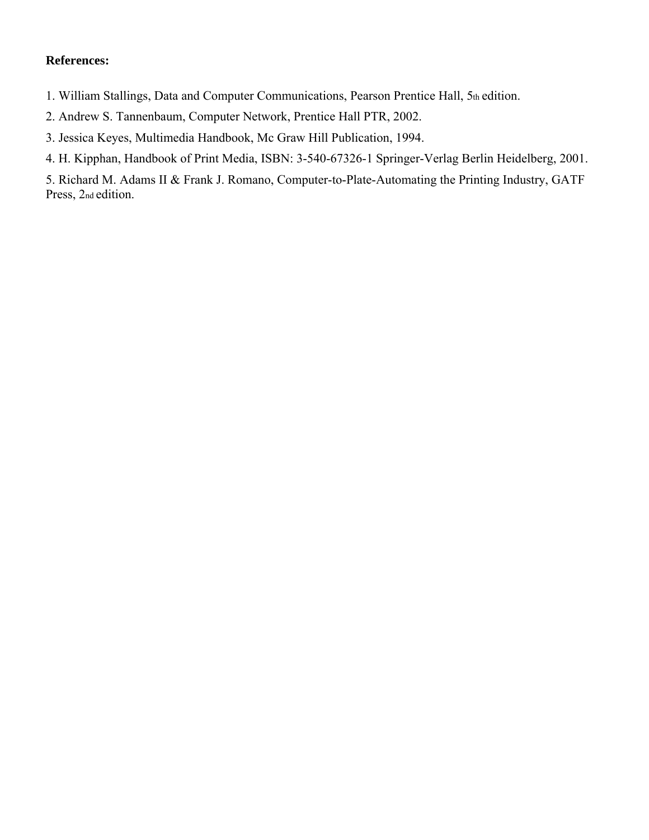- 1. William Stallings, Data and Computer Communications, Pearson Prentice Hall, 5th edition.
- 2. Andrew S. Tannenbaum, Computer Network, Prentice Hall PTR, 2002.
- 3. Jessica Keyes, Multimedia Handbook, Mc Graw Hill Publication, 1994.
- 4. H. Kipphan, Handbook of Print Media, ISBN: 3-540-67326-1 Springer-Verlag Berlin Heidelberg, 2001.

5. Richard M. Adams II & Frank J. Romano, Computer-to-Plate-Automating the Printing Industry, GATF Press, 2nd edition.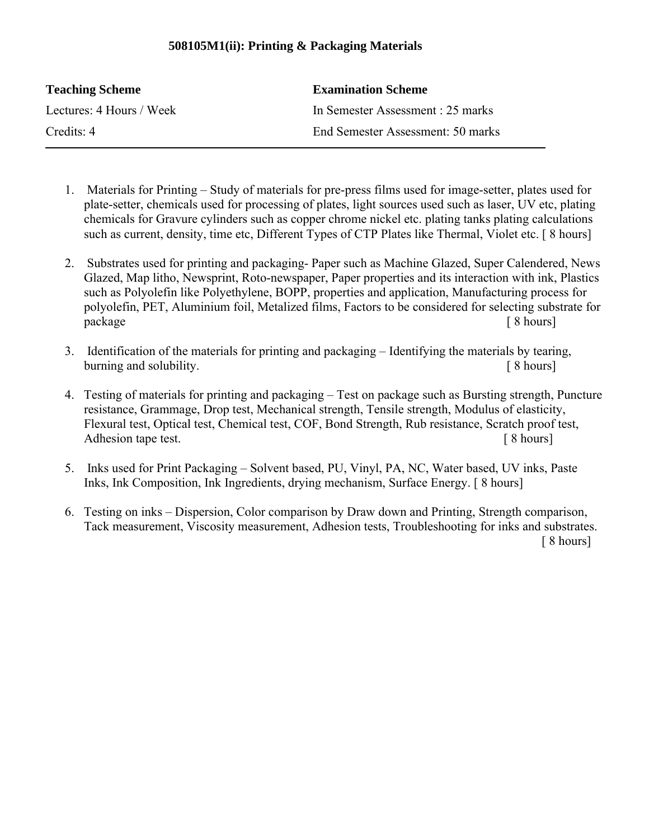## **508105M1(ii): Printing & Packaging Materials**

| <b>Teaching Scheme</b>   | <b>Examination Scheme</b>         |
|--------------------------|-----------------------------------|
| Lectures: 4 Hours / Week | In Semester Assessment : 25 marks |
| Credits: 4               | End Semester Assessment: 50 marks |

- 1. Materials for Printing Study of materials for pre-press films used for image-setter, plates used for plate-setter, chemicals used for processing of plates, light sources used such as laser, UV etc, plating chemicals for Gravure cylinders such as copper chrome nickel etc. plating tanks plating calculations such as current, density, time etc, Different Types of CTP Plates like Thermal, Violet etc. [8 hours]
- 2. Substrates used for printing and packaging- Paper such as Machine Glazed, Super Calendered, News Glazed, Map litho, Newsprint, Roto-newspaper, Paper properties and its interaction with ink, Plastics such as Polyolefin like Polyethylene, BOPP, properties and application, Manufacturing process for polyolefin, PET, Aluminium foil, Metalized films, Factors to be considered for selecting substrate for package [ 8 hours]
- 3. Identification of the materials for printing and packaging Identifying the materials by tearing, burning and solubility.  $\left[ 8 \text{ hours} \right]$
- 4. Testing of materials for printing and packaging Test on package such as Bursting strength, Puncture resistance, Grammage, Drop test, Mechanical strength, Tensile strength, Modulus of elasticity, Flexural test, Optical test, Chemical test, COF, Bond Strength, Rub resistance, Scratch proof test, Adhesion tape test.  $\lceil 8 \text{ hours} \rceil$
- 5. Inks used for Print Packaging Solvent based, PU, Vinyl, PA, NC, Water based, UV inks, Paste Inks, Ink Composition, Ink Ingredients, drying mechanism, Surface Energy. [ 8 hours]
- 6. Testing on inks Dispersion, Color comparison by Draw down and Printing, Strength comparison, Tack measurement, Viscosity measurement, Adhesion tests, Troubleshooting for inks and substrates. [ 8 hours]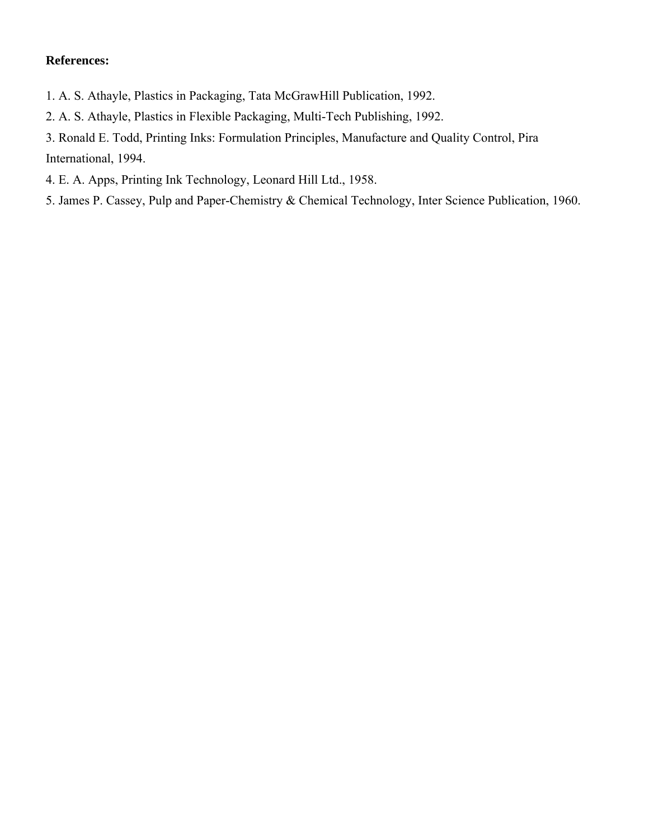- 1. A. S. Athayle, Plastics in Packaging, Tata McGrawHill Publication, 1992.
- 2. A. S. Athayle, Plastics in Flexible Packaging, Multi-Tech Publishing, 1992.
- 3. Ronald E. Todd, Printing Inks: Formulation Principles, Manufacture and Quality Control, Pira International, 1994.
- 4. E. A. Apps, Printing Ink Technology, Leonard Hill Ltd., 1958.
- 5. James P. Cassey, Pulp and Paper-Chemistry & Chemical Technology, Inter Science Publication, 1960.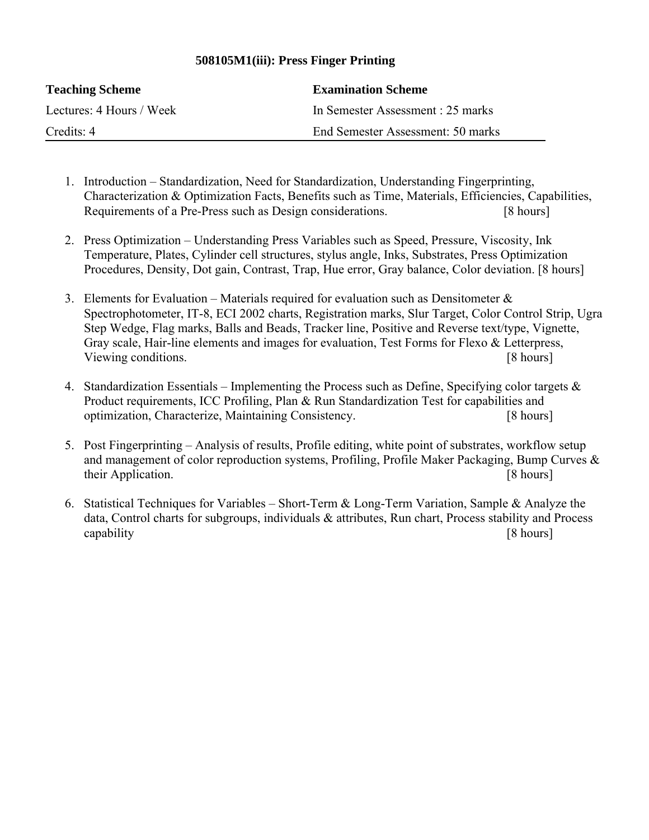## **508105M1(iii): Press Finger Printing**

| <b>Teaching Scheme</b>   | <b>Examination Scheme</b>         |
|--------------------------|-----------------------------------|
| Lectures: 4 Hours / Week | In Semester Assessment : 25 marks |
| Credits: 4               | End Semester Assessment: 50 marks |

- 1. Introduction Standardization, Need for Standardization, Understanding Fingerprinting, Characterization & Optimization Facts, Benefits such as Time, Materials, Efficiencies, Capabilities, Requirements of a Pre-Press such as Design considerations. [8 hours]
- 2. Press Optimization Understanding Press Variables such as Speed, Pressure, Viscosity, Ink Temperature, Plates, Cylinder cell structures, stylus angle, Inks, Substrates, Press Optimization Procedures, Density, Dot gain, Contrast, Trap, Hue error, Gray balance, Color deviation. [8 hours]
- 3. Elements for Evaluation Materials required for evaluation such as Densitometer  $\&$ Spectrophotometer, IT-8, ECI 2002 charts, Registration marks, Slur Target, Color Control Strip, Ugra Step Wedge, Flag marks, Balls and Beads, Tracker line, Positive and Reverse text/type, Vignette, Gray scale, Hair-line elements and images for evaluation, Test Forms for Flexo & Letterpress, Viewing conditions. [8 hours]
- 4. Standardization Essentials Implementing the Process such as Define, Specifying color targets  $\&$ Product requirements, ICC Profiling, Plan & Run Standardization Test for capabilities and optimization, Characterize, Maintaining Consistency. [8 hours]
- 5. Post Fingerprinting Analysis of results, Profile editing, white point of substrates, workflow setup and management of color reproduction systems, Profiling, Profile Maker Packaging, Bump Curves & their Application. [8 hours]
- 6. Statistical Techniques for Variables Short-Term & Long-Term Variation, Sample & Analyze the data, Control charts for subgroups, individuals & attributes, Run chart, Process stability and Process capability [8 hours]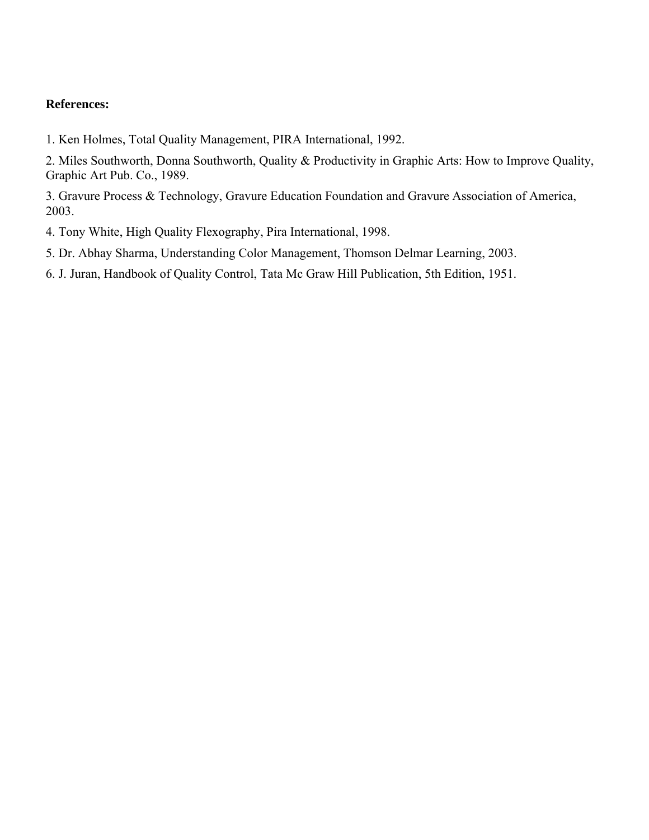1. Ken Holmes, Total Quality Management, PIRA International, 1992.

2. Miles Southworth, Donna Southworth, Quality & Productivity in Graphic Arts: How to Improve Quality, Graphic Art Pub. Co., 1989.

3. Gravure Process & Technology, Gravure Education Foundation and Gravure Association of America, 2003.

4. Tony White, High Quality Flexography, Pira International, 1998.

5. Dr. Abhay Sharma, Understanding Color Management, Thomson Delmar Learning, 2003.

6. J. Juran, Handbook of Quality Control, Tata Mc Graw Hill Publication, 5th Edition, 1951.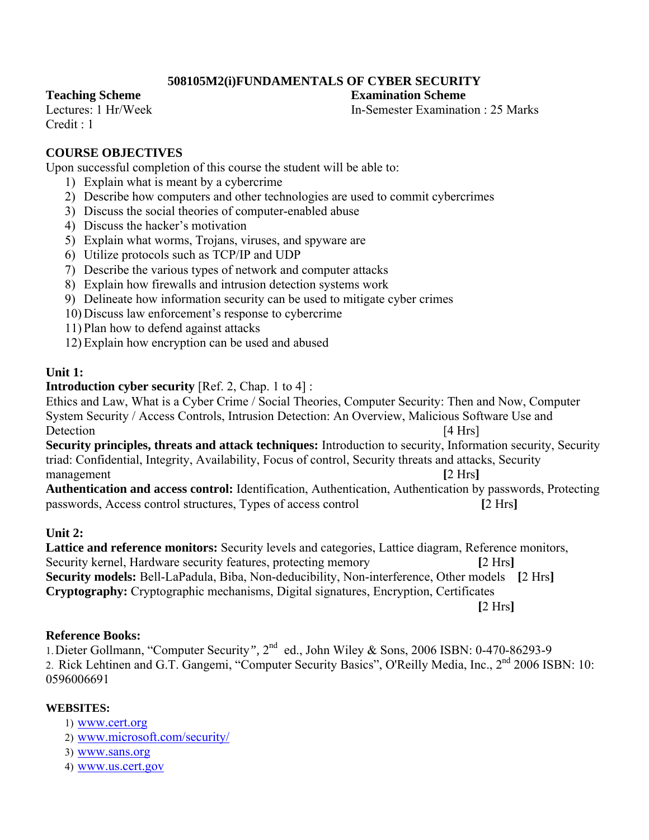## **508105M2(i)FUNDAMENTALS OF CYBER SECURITY**

#### **Teaching Scheme Examination Scheme**

 $C$ redit  $\cdot$  1

Lectures: 1 Hr/Week **In-Semester Examination : 25 Marks** 

## **COURSE OBJECTIVES**

Upon successful completion of this course the student will be able to:

- 1) Explain what is meant by a cybercrime
- 2) Describe how computers and other technologies are used to commit cybercrimes
- 3) Discuss the social theories of computer-enabled abuse
- 4) Discuss the hacker's motivation
- 5) Explain what worms, Trojans, viruses, and spyware are
- 6) Utilize protocols such as TCP/IP and UDP
- 7) Describe the various types of network and computer attacks
- 8) Explain how firewalls and intrusion detection systems work
- 9) Delineate how information security can be used to mitigate cyber crimes
- 10) Discuss law enforcement's response to cybercrime
- 11) Plan how to defend against attacks
- 12) Explain how encryption can be used and abused

## **Unit 1:**

## **Introduction cyber security** [Ref. 2, Chap. 1 to 4] :

Ethics and Law, What is a Cyber Crime / Social Theories, Computer Security: Then and Now, Computer System Security / Access Controls, Intrusion Detection: An Overview, Malicious Software Use and Detection [4 Hrs]

**Security principles, threats and attack techniques:** Introduction to security, Information security, Security triad: Confidential, Integrity, Availability, Focus of control, Security threats and attacks, Security management **[2 Hrs**]

**Authentication and access control:** Identification, Authentication, Authentication by passwords, Protecting passwords, Access control structures, Types of access control **[**2 Hrs**]**

## **Unit 2:**

**Lattice and reference monitors:** Security levels and categories, Lattice diagram, Reference monitors, Security kernel, Hardware security features, protecting memory **[**2 Hrs**] Security models:** Bell-LaPadula, Biba, Non-deducibility, Non-interference, Other models **[**2 Hrs**] Cryptography:** Cryptographic mechanisms, Digital signatures, Encryption, Certificates **[**2 Hrs**]**

## **Reference Books:**

1.Dieter Gollmann, "Computer Security*",* 2nd ed., John Wiley & Sons, 2006 ISBN: 0-470-86293-9 2. Rick Lehtinen and G.T. Gangemi, "Computer Security Basics", O'Reilly Media, Inc., 2nd 2006 ISBN: 10: 0596006691

## **WEBSITES:**

- 1) www.cert.org
- 2) www.microsoft.com/security/
- 3) www.sans.org
- 4) www.us.cert.gov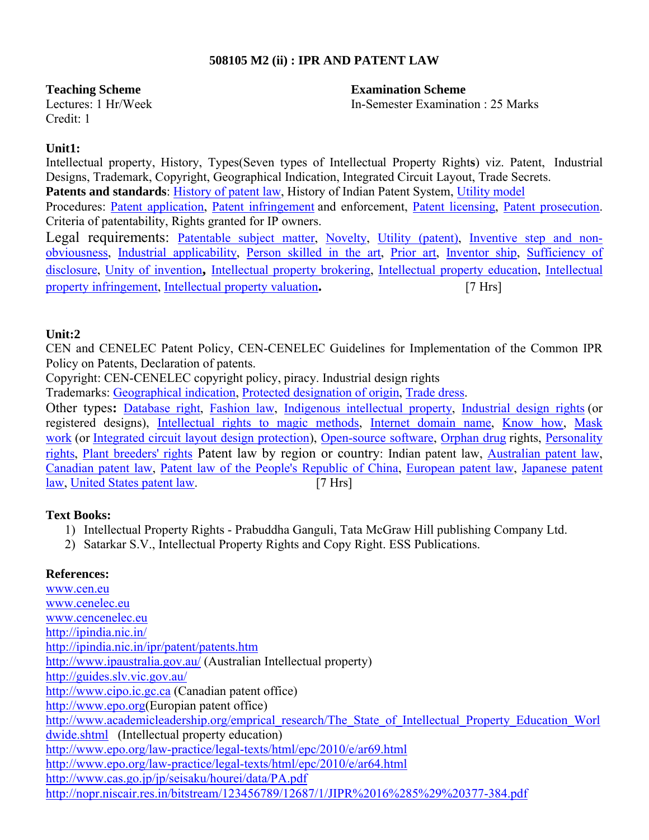## **508105 M2 (ii) : IPR AND PATENT LAW**

#### **Teaching Scheme Examination Scheme**

Lectures: 1 Hr/Week In-Semester Examination : 25 Marks

Credit: 1

## **Unit1:**

Intellectual property, History, Types(Seven types of Intellectual Property Right**s**) viz. Patent, Industrial Designs, Trademark, Copyright, Geographical Indication, Integrated Circuit Layout, Trade Secrets. Patents and standards: History of patent law, History of Indian Patent System, Utility model Procedures: Patent application, Patent infringement and enforcement, Patent licensing, Patent prosecution. Criteria of patentability, Rights granted for IP owners.

Legal requirements: Patentable subject matter, Novelty, Utility (patent), Inventive step and nonobviousness, Industrial applicability, Person skilled in the art, Prior art, Inventor ship, Sufficiency of disclosure, Unity of invention**,** Intellectual property brokering, Intellectual property education, Intellectual property infringement, Intellectual property valuation**.** [7 Hrs]

## **Unit:2**

CEN and CENELEC Patent Policy, CEN-CENELEC Guidelines for Implementation of the Common IPR Policy on Patents, Declaration of patents.

Copyright: CEN-CENELEC copyright policy, piracy. Industrial design rights

Trademarks: Geographical indication, Protected designation of origin, Trade dress.

Other types**:** Database right, Fashion law, Indigenous intellectual property, Industrial design rights (or registered designs), Intellectual rights to magic methods, Internet domain name, Know how, Mask work (or Integrated circuit layout design protection), Open-source software, Orphan drug rights, Personality rights, Plant breeders' rights Patent law by region or country: Indian patent law, Australian patent law, Canadian patent law, Patent law of the People's Republic of China, European patent law, Japanese patent law, United States patent law. [7 Hrs]

## **Text Books:**

- 1) Intellectual Property Rights Prabuddha Ganguli, Tata McGraw Hill publishing Company Ltd.
- 2) Satarkar S.V., Intellectual Property Rights and Copy Right. ESS Publications.

## **References:**

www.cen.eu www.cenelec.eu www.cencenelec.eu http://ipindia.nic.in/ http://ipindia.nic.in/ipr/patent/patents.htm http://www.ipaustralia.gov.au/ (Australian Intellectual property) http://guides.slv.vic.gov.au/ http://www.cipo.ic.gc.ca (Canadian patent office) http://www.epo.org(Europian patent office) http://www.academicleadership.org/emprical\_research/The\_State\_of\_Intellectual\_Property\_Education\_Worl dwide.shtml (Intellectual property education) http://www.epo.org/law-practice/legal-texts/html/epc/2010/e/ar69.html http://www.epo.org/law-practice/legal-texts/html/epc/2010/e/ar64.html http://www.cas.go.jp/jp/seisaku/hourei/data/PA.pdf http://nopr.niscair.res.in/bitstream/123456789/12687/1/JIPR%2016%285%29%20377-384.pdf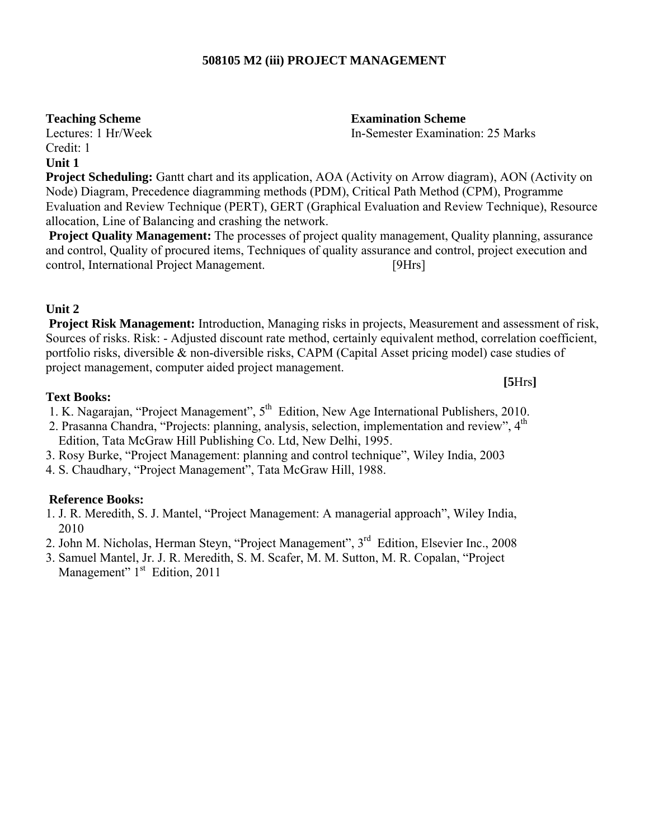## **508105 M2 (iii) PROJECT MANAGEMENT**

**Teaching Scheme Examination Scheme** 

Lectures: 1 Hr/Week In-Semester Examination: 25 Marks

**[5**Hrs**]**

Credit: 1 **Unit 1** 

**Project Scheduling:** Gantt chart and its application, AOA (Activity on Arrow diagram), AON (Activity on Node) Diagram, Precedence diagramming methods (PDM), Critical Path Method (CPM), Programme Evaluation and Review Technique (PERT), GERT (Graphical Evaluation and Review Technique), Resource allocation, Line of Balancing and crashing the network.

**Project Quality Management:** The processes of project quality management, Quality planning, assurance and control, Quality of procured items, Techniques of quality assurance and control, project execution and control, International Project Management. [9Hrs]

## **Unit 2**

**Project Risk Management:** Introduction, Managing risks in projects, Measurement and assessment of risk, Sources of risks. Risk: - Adjusted discount rate method, certainly equivalent method, correlation coefficient, portfolio risks, diversible & non-diversible risks, CAPM (Capital Asset pricing model) case studies of project management, computer aided project management.

## **Text Books:**

1. K. Nagarajan, "Project Management",  $5<sup>th</sup>$  Edition, New Age International Publishers, 2010.

- 2. Prasanna Chandra, "Projects: planning, analysis, selection, implementation and review". 4<sup>th</sup> Edition, Tata McGraw Hill Publishing Co. Ltd, New Delhi, 1995.
- 3. Rosy Burke, "Project Management: planning and control technique", Wiley India, 2003
- 4. S. Chaudhary, "Project Management", Tata McGraw Hill, 1988.

## **Reference Books:**

- 1. J. R. Meredith, S. J. Mantel, "Project Management: A managerial approach", Wiley India, 2010
- 2. John M. Nicholas, Herman Steyn, "Project Management", 3rd Edition, Elsevier Inc., 2008
- 3. Samuel Mantel, Jr. J. R. Meredith, S. M. Scafer, M. M. Sutton, M. R. Copalan, "Project Management" 1<sup>st</sup> Edition, 2011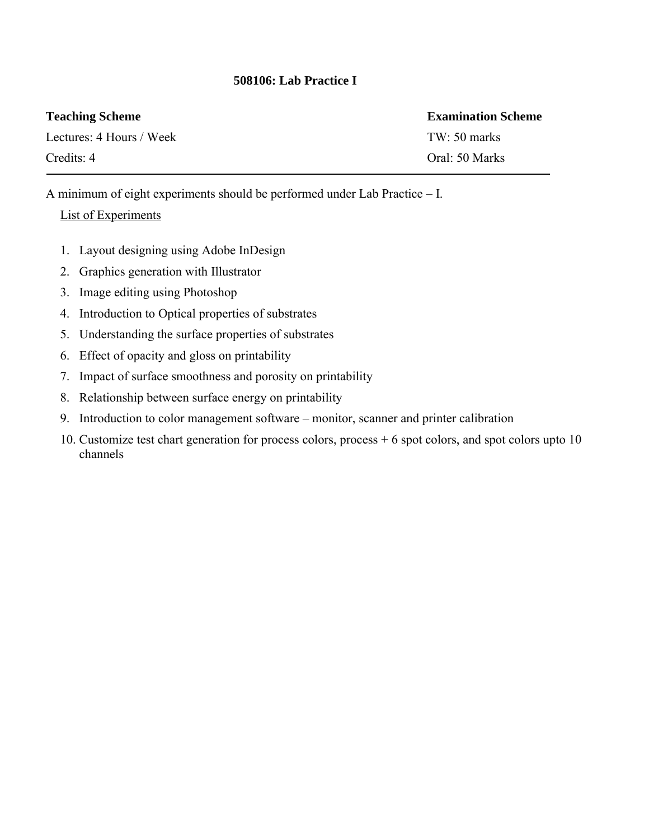## **508106: Lab Practice I**

| <b>Teaching Scheme</b>   | <b>Examination Scheme</b> |
|--------------------------|---------------------------|
| Lectures: 4 Hours / Week | TW: 50 marks              |
| Credits: 4               | Oral: 50 Marks            |

A minimum of eight experiments should be performed under Lab Practice – I.

## List of Experiments

- 1. Layout designing using Adobe InDesign
- 2. Graphics generation with Illustrator
- 3. Image editing using Photoshop
- 4. Introduction to Optical properties of substrates
- 5. Understanding the surface properties of substrates
- 6. Effect of opacity and gloss on printability
- 7. Impact of surface smoothness and porosity on printability
- 8. Relationship between surface energy on printability
- 9. Introduction to color management software monitor, scanner and printer calibration
- 10. Customize test chart generation for process colors, process + 6 spot colors, and spot colors upto 10 channels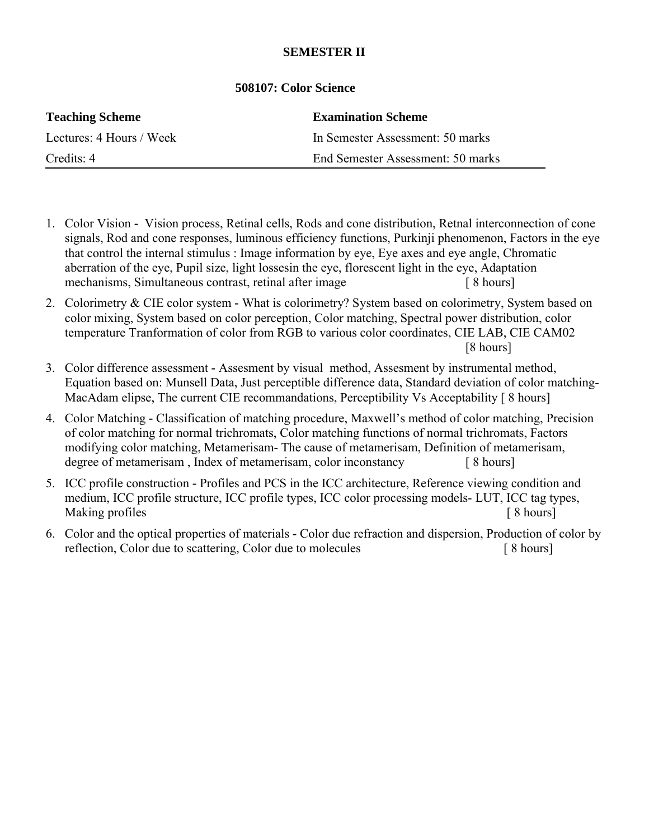## **SEMESTER II**

| <b>Teaching Scheme</b>   | <b>Examination Scheme</b>         |
|--------------------------|-----------------------------------|
| Lectures: 4 Hours / Week | In Semester Assessment: 50 marks  |
| Credits: 4               | End Semester Assessment: 50 marks |

## **508107: Color Science**

- 1. Color Vision Vision process, Retinal cells, Rods and cone distribution, Retnal interconnection of cone signals, Rod and cone responses, luminous efficiency functions, Purkinji phenomenon, Factors in the eye that control the internal stimulus : Image information by eye, Eye axes and eye angle, Chromatic aberration of the eye, Pupil size, light lossesin the eye, florescent light in the eye, Adaptation mechanisms, Simultaneous contrast, retinal after image [ 8 hours]
- 2. Colorimetry & CIE color system **-** What is colorimetry? System based on colorimetry, System based on color mixing, System based on color perception, Color matching, Spectral power distribution, color temperature Tranformation of color from RGB to various color coordinates, CIE LAB, CIE CAM02 [8 hours]
- 3. Color difference assessment **-** Assesment by visual method, Assesment by instrumental method, Equation based on: Munsell Data, Just perceptible difference data, Standard deviation of color matching-MacAdam elipse, The current CIE recommandations, Perceptibility Vs Acceptability [8 hours]
- 4. Color Matching **-** Classification of matching procedure, Maxwell's method of color matching, Precision of color matching for normal trichromats, Color matching functions of normal trichromats, Factors modifying color matching, Metamerisam- The cause of metamerisam, Definition of metamerisam, degree of metamerisam, Index of metamerisam, color inconstancy [8 hours]
- 5. ICC profile construction **-** Profiles and PCS in the ICC architecture, Reference viewing condition and medium, ICC profile structure, ICC profile types, ICC color processing models- LUT, ICC tag types, Making profiles [ 8 hours]
- 6. Color and the optical properties of materials **-** Color due refraction and dispersion, Production of color by reflection, Color due to scattering, Color due to molecules [ 8 hours]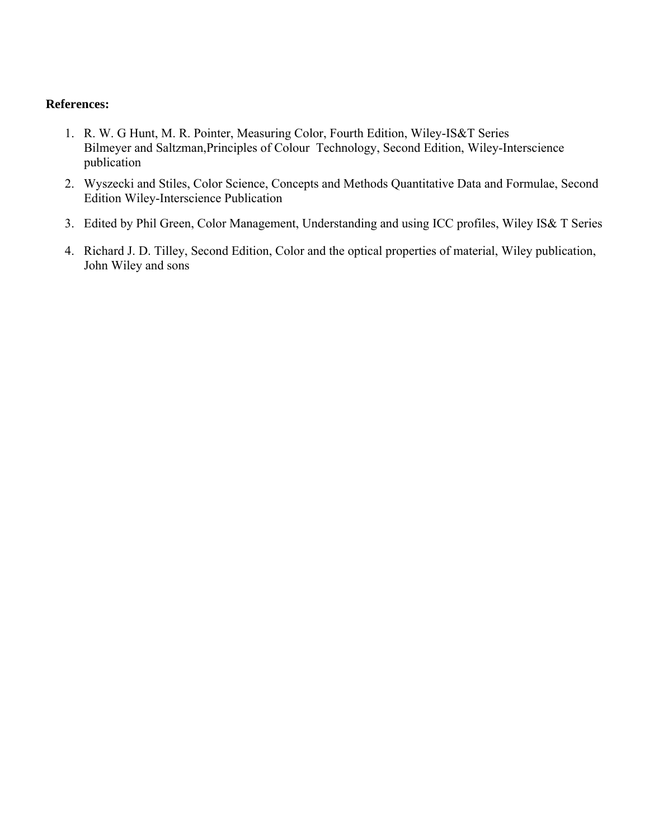- 1. R. W. G Hunt, M. R. Pointer, Measuring Color, Fourth Edition, Wiley-IS&T Series Bilmeyer and Saltzman,Principles of Colour Technology, Second Edition, Wiley-Interscience publication
- 2. Wyszecki and Stiles, Color Science, Concepts and Methods Quantitative Data and Formulae, Second Edition Wiley-Interscience Publication
- 3. Edited by Phil Green, Color Management, Understanding and using ICC profiles, Wiley IS& T Series
- 4. Richard J. D. Tilley, Second Edition, Color and the optical properties of material, Wiley publication, John Wiley and sons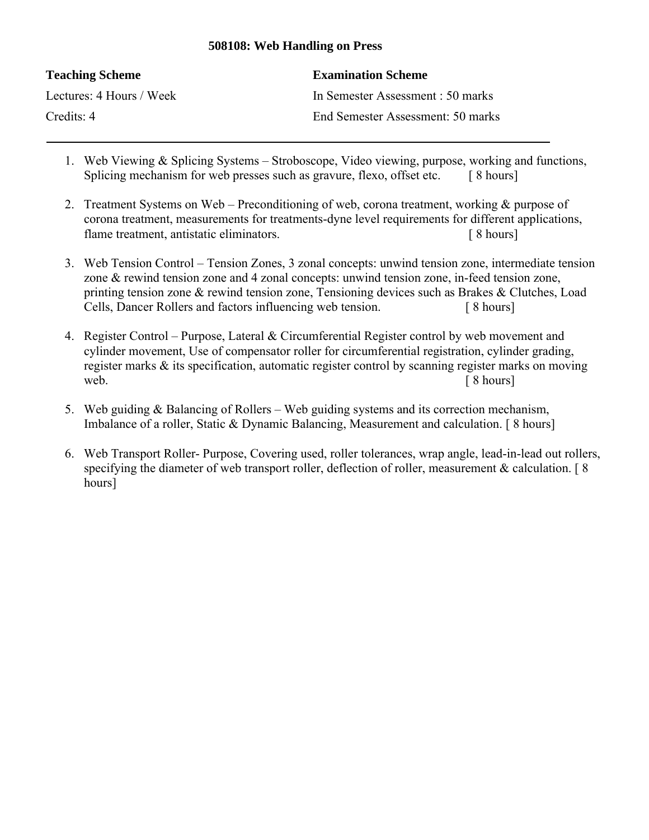## **508108: Web Handling on Press**

| <b>Teaching Scheme</b>   | <b>Examination Scheme</b>         |
|--------------------------|-----------------------------------|
| Lectures: 4 Hours / Week | In Semester Assessment : 50 marks |
| Credits: 4               | End Semester Assessment: 50 marks |

- 1. Web Viewing & Splicing Systems Stroboscope, Video viewing, purpose, working and functions, Splicing mechanism for web presses such as gravure, flexo, offset etc. [8 hours]
- 2. Treatment Systems on Web Preconditioning of web, corona treatment, working & purpose of corona treatment, measurements for treatments-dyne level requirements for different applications, flame treatment, antistatic eliminators. [ 8 hours]
- 3. Web Tension Control Tension Zones, 3 zonal concepts: unwind tension zone, intermediate tension zone & rewind tension zone and 4 zonal concepts: unwind tension zone, in-feed tension zone, printing tension zone & rewind tension zone, Tensioning devices such as Brakes & Clutches, Load Cells, Dancer Rollers and factors influencing web tension. [ 8 hours]
- 4. Register Control Purpose, Lateral & Circumferential Register control by web movement and cylinder movement, Use of compensator roller for circumferential registration, cylinder grading, register marks & its specification, automatic register control by scanning register marks on moving web.  $\lceil 8 \text{ hours} \rceil$
- 5. Web guiding & Balancing of Rollers Web guiding systems and its correction mechanism, Imbalance of a roller, Static & Dynamic Balancing, Measurement and calculation. [ 8 hours]
- 6. Web Transport Roller- Purpose, Covering used, roller tolerances, wrap angle, lead-in-lead out rollers, specifying the diameter of web transport roller, deflection of roller, measurement & calculation. [8] hours]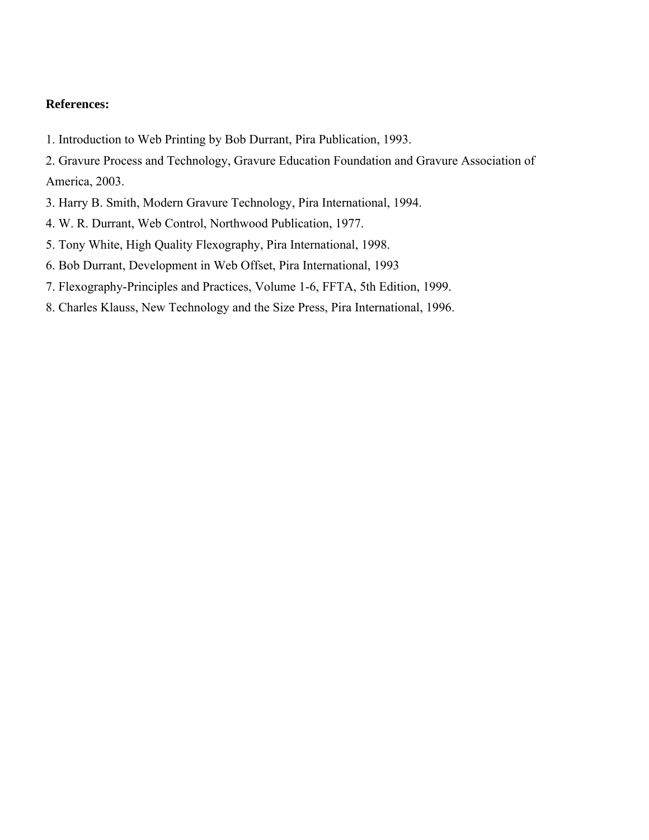1. Introduction to Web Printing by Bob Durrant, Pira Publication, 1993.

2. Gravure Process and Technology, Gravure Education Foundation and Gravure Association of America, 2003.

- 3. Harry B. Smith, Modern Gravure Technology, Pira International, 1994.
- 4. W. R. Durrant, Web Control, Northwood Publication, 1977.
- 5. Tony White, High Quality Flexography, Pira International, 1998.
- 6. Bob Durrant, Development in Web Offset, Pira International, 1993
- 7. Flexography-Principles and Practices, Volume 1-6, FFTA, 5th Edition, 1999.
- 8. Charles Klauss, New Technology and the Size Press, Pira International, 1996.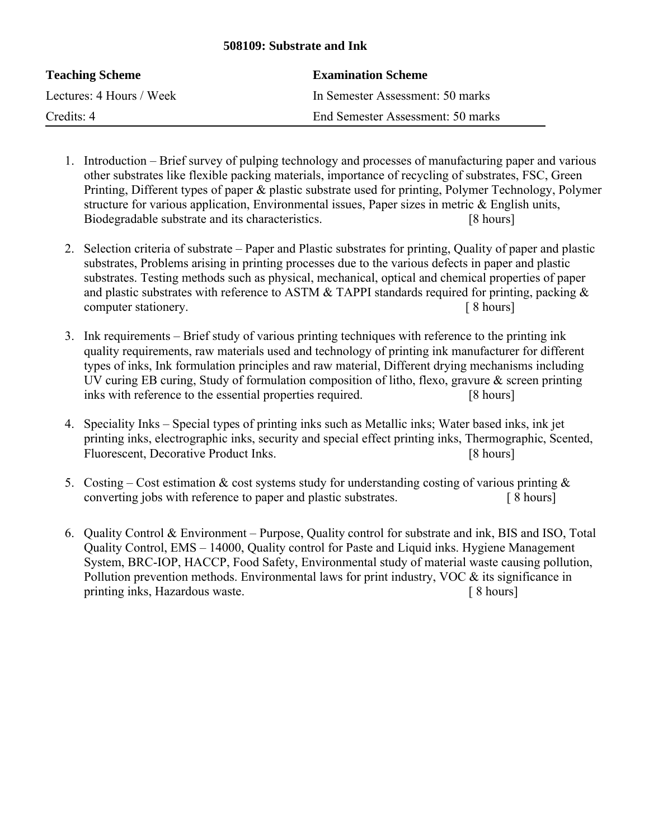## **508109: Substrate and Ink**

| <b>Teaching Scheme</b>   | <b>Examination Scheme</b>         |
|--------------------------|-----------------------------------|
| Lectures: 4 Hours / Week | In Semester Assessment: 50 marks  |
| Credits: 4               | End Semester Assessment: 50 marks |

- 1. Introduction Brief survey of pulping technology and processes of manufacturing paper and various other substrates like flexible packing materials, importance of recycling of substrates, FSC, Green Printing, Different types of paper & plastic substrate used for printing, Polymer Technology, Polymer structure for various application, Environmental issues, Paper sizes in metric & English units, Biodegradable substrate and its characteristics. [8 hours]
- 2. Selection criteria of substrate Paper and Plastic substrates for printing, Quality of paper and plastic substrates, Problems arising in printing processes due to the various defects in paper and plastic substrates. Testing methods such as physical, mechanical, optical and chemical properties of paper and plastic substrates with reference to ASTM  $&$  TAPPI standards required for printing, packing  $&$ computer stationery.  $\begin{bmatrix} 8 \text{ hours} \end{bmatrix}$
- 3. Ink requirements Brief study of various printing techniques with reference to the printing ink quality requirements, raw materials used and technology of printing ink manufacturer for different types of inks, Ink formulation principles and raw material, Different drying mechanisms including UV curing EB curing, Study of formulation composition of litho, flexo, gravure & screen printing inks with reference to the essential properties required. [8 hours]
- 4. Speciality Inks Special types of printing inks such as Metallic inks; Water based inks, ink jet printing inks, electrographic inks, security and special effect printing inks, Thermographic, Scented, Fluorescent, Decorative Product Inks. [8 hours]
- 5. Costing Cost estimation & cost systems study for understanding costing of various printing  $\&$ converting jobs with reference to paper and plastic substrates. [ 8 hours]
- 6. Quality Control & Environment Purpose, Quality control for substrate and ink, BIS and ISO, Total Quality Control, EMS – 14000, Quality control for Paste and Liquid inks. Hygiene Management System, BRC-IOP, HACCP, Food Safety, Environmental study of material waste causing pollution, Pollution prevention methods. Environmental laws for print industry, VOC & its significance in printing inks, Hazardous waste. [ 8 hours]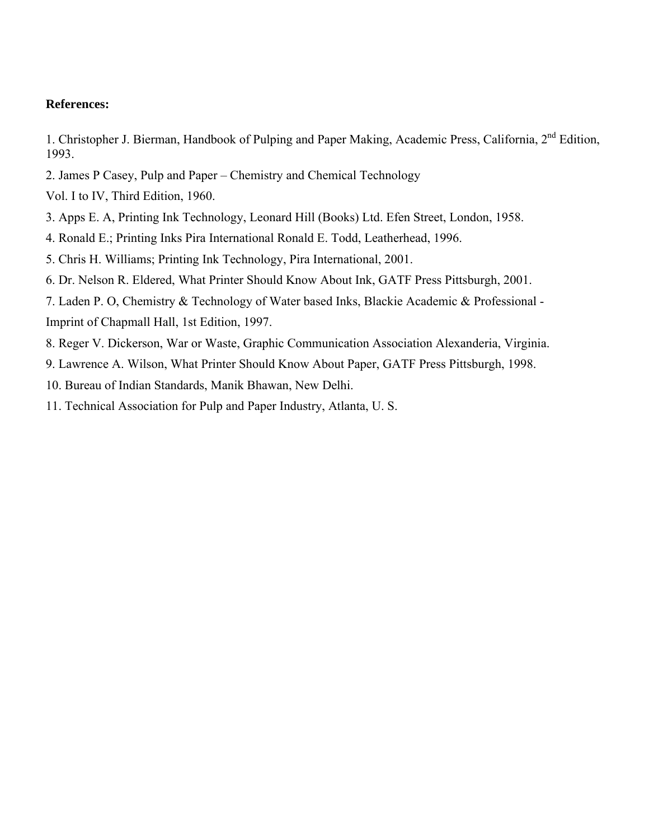1. Christopher J. Bierman, Handbook of Pulping and Paper Making, Academic Press, California, 2<sup>nd</sup> Edition, 1993.

- 2. James P Casey, Pulp and Paper Chemistry and Chemical Technology
- Vol. I to IV, Third Edition, 1960.
- 3. Apps E. A, Printing Ink Technology, Leonard Hill (Books) Ltd. Efen Street, London, 1958.
- 4. Ronald E.; Printing Inks Pira International Ronald E. Todd, Leatherhead, 1996.
- 5. Chris H. Williams; Printing Ink Technology, Pira International, 2001.
- 6. Dr. Nelson R. Eldered, What Printer Should Know About Ink, GATF Press Pittsburgh, 2001.
- 7. Laden P. O, Chemistry & Technology of Water based Inks, Blackie Academic & Professional Imprint of Chapmall Hall, 1st Edition, 1997.
- 8. Reger V. Dickerson, War or Waste, Graphic Communication Association Alexanderia, Virginia.
- 9. Lawrence A. Wilson, What Printer Should Know About Paper, GATF Press Pittsburgh, 1998.
- 10. Bureau of Indian Standards, Manik Bhawan, New Delhi.
- 11. Technical Association for Pulp and Paper Industry, Atlanta, U. S.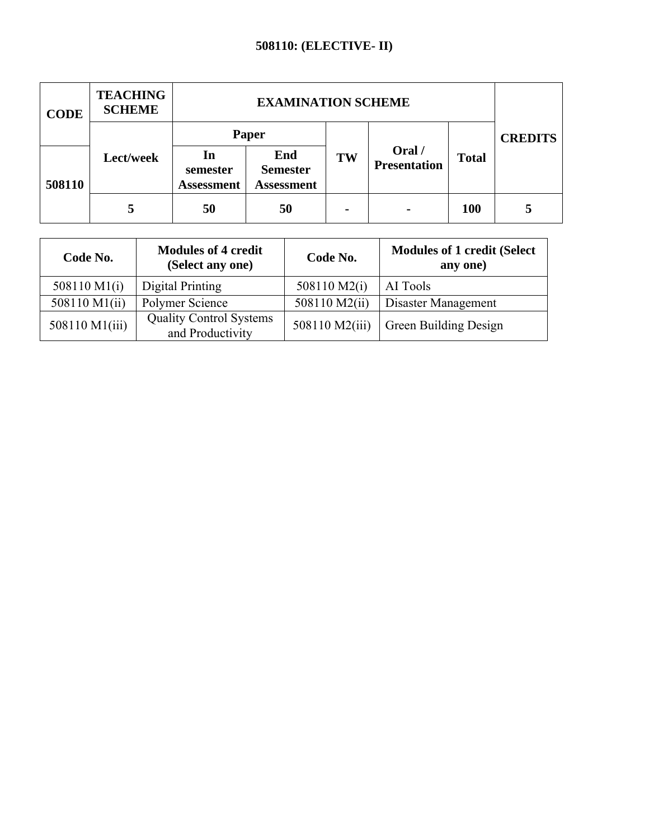## **508110: (ELECTIVE- II)**

| <b>CODE</b> | <b>TEACHING</b><br><b>SCHEME</b> | <b>EXAMINATION SCHEME</b>           |                                             |    |                               |              |                |
|-------------|----------------------------------|-------------------------------------|---------------------------------------------|----|-------------------------------|--------------|----------------|
|             |                                  | Paper                               |                                             |    |                               |              | <b>CREDITS</b> |
| 508110      | Lect/week                        | In<br>semester<br><b>Assessment</b> | End<br><b>Semester</b><br><b>Assessment</b> | TW | Oral /<br><b>Presentation</b> | <b>Total</b> |                |
|             |                                  | 50                                  | 50                                          |    | $\blacksquare$                | <b>100</b>   | 5              |

| Code No.       | <b>Modules of 4 credit</b><br>(Select any one)     | Code No.       | <b>Modules of 1 credit (Select</b><br>any one) |  |
|----------------|----------------------------------------------------|----------------|------------------------------------------------|--|
| 508110 M1(i)   | Digital Printing                                   | 508110 M2(i)   | AI Tools                                       |  |
| 508110 M1(ii)  | Polymer Science                                    | 508110 M2(ii)  | Disaster Management                            |  |
| 508110 M1(iii) | <b>Quality Control Systems</b><br>and Productivity | 508110 M2(iii) | Green Building Design                          |  |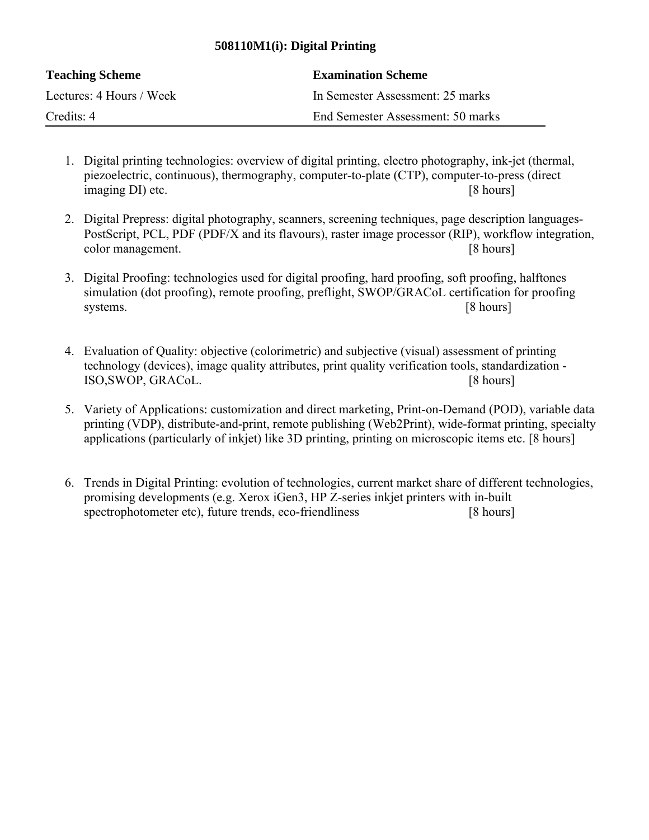## **508110M1(i): Digital Printing**

| <b>Teaching Scheme</b>   | <b>Examination Scheme</b>         |
|--------------------------|-----------------------------------|
| Lectures: 4 Hours / Week | In Semester Assessment: 25 marks  |
| Credits: 4               | End Semester Assessment: 50 marks |

- 1. Digital printing technologies: overview of digital printing, electro photography, ink-jet (thermal, piezoelectric, continuous), thermography, computer-to-plate (CTP), computer-to-press (direct imaging DI) etc. [8 hours]
- 2. Digital Prepress: digital photography, scanners, screening techniques, page description languages-PostScript, PCL, PDF (PDF/X and its flavours), raster image processor (RIP), workflow integration, color management. [8 hours]
- 3. Digital Proofing: technologies used for digital proofing, hard proofing, soft proofing, halftones simulation (dot proofing), remote proofing, preflight, SWOP/GRACoL certification for proofing systems. [8 hours]
- 4. Evaluation of Quality: objective (colorimetric) and subjective (visual) assessment of printing technology (devices), image quality attributes, print quality verification tools, standardization - ISO,SWOP, GRACoL. [8 hours]
- 5. Variety of Applications: customization and direct marketing, Print-on-Demand (POD), variable data printing (VDP), distribute-and-print, remote publishing (Web2Print), wide-format printing, specialty applications (particularly of inkjet) like 3D printing, printing on microscopic items etc. [8 hours]
- 6. Trends in Digital Printing: evolution of technologies, current market share of different technologies, promising developments (e.g. Xerox iGen3, HP Z-series inkjet printers with in-built spectrophotometer etc), future trends, eco-friendliness [8 hours]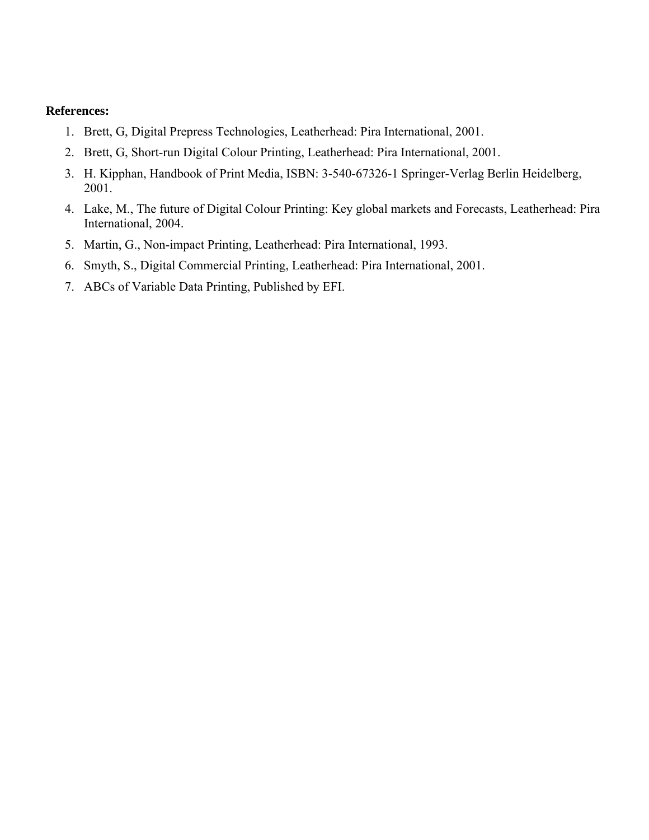- 1. Brett, G, Digital Prepress Technologies, Leatherhead: Pira International, 2001.
- 2. Brett, G, Short-run Digital Colour Printing, Leatherhead: Pira International, 2001.
- 3. H. Kipphan, Handbook of Print Media, ISBN: 3-540-67326-1 Springer-Verlag Berlin Heidelberg, 2001.
- 4. Lake, M., The future of Digital Colour Printing: Key global markets and Forecasts, Leatherhead: Pira International, 2004.
- 5. Martin, G., Non-impact Printing, Leatherhead: Pira International, 1993.
- 6. Smyth, S., Digital Commercial Printing, Leatherhead: Pira International, 2001.
- 7. ABCs of Variable Data Printing, Published by EFI.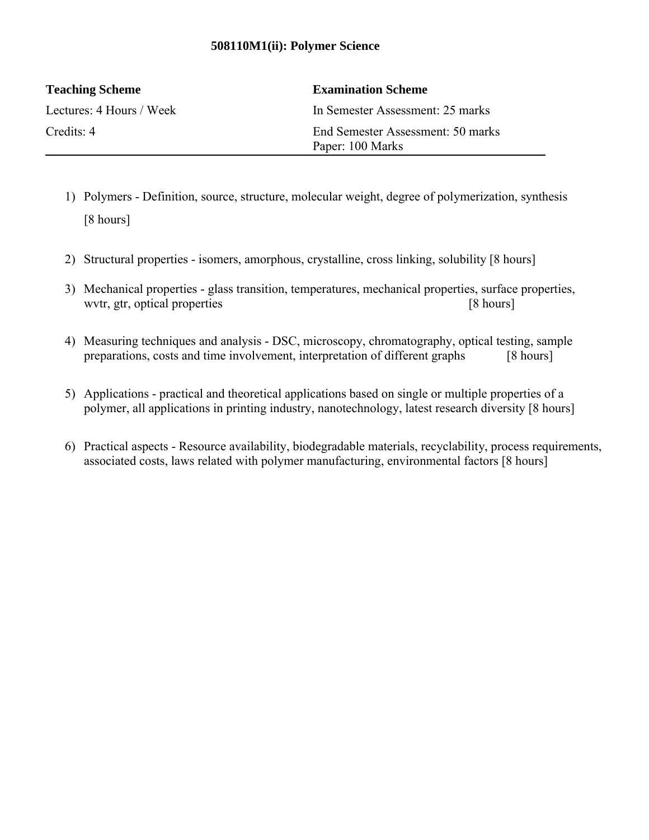## **508110M1(ii): Polymer Science**

| <b>Teaching Scheme</b>   | <b>Examination Scheme</b>                             |
|--------------------------|-------------------------------------------------------|
| Lectures: 4 Hours / Week | In Semester Assessment: 25 marks                      |
| Credits: $4$             | End Semester Assessment: 50 marks<br>Paper: 100 Marks |

- 1) Polymers Definition, source, structure, molecular weight, degree of polymerization, synthesis [8 hours]
- 2) Structural properties isomers, amorphous, crystalline, cross linking, solubility [8 hours]
- 3) Mechanical properties glass transition, temperatures, mechanical properties, surface properties, wvtr, gtr, optical properties [8 hours]
- 4) Measuring techniques and analysis DSC, microscopy, chromatography, optical testing, sample preparations, costs and time involvement, interpretation of different graphs [8 hours]
- 5) Applications practical and theoretical applications based on single or multiple properties of a polymer, all applications in printing industry, nanotechnology, latest research diversity [8 hours]
- 6) Practical aspects Resource availability, biodegradable materials, recyclability, process requirements, associated costs, laws related with polymer manufacturing, environmental factors [8 hours]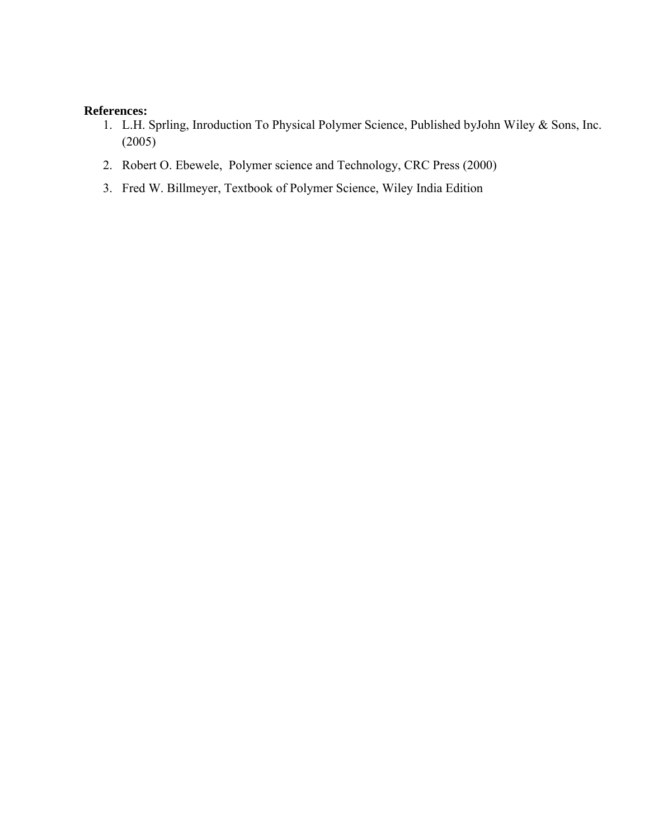- 1. L.H. Sprling, Inroduction To Physical Polymer Science, Published byJohn Wiley & Sons, Inc. (2005)
- 2. Robert O. Ebewele, Polymer science and Technology, CRC Press (2000)
- 3. Fred W. Billmeyer, Textbook of Polymer Science, Wiley India Edition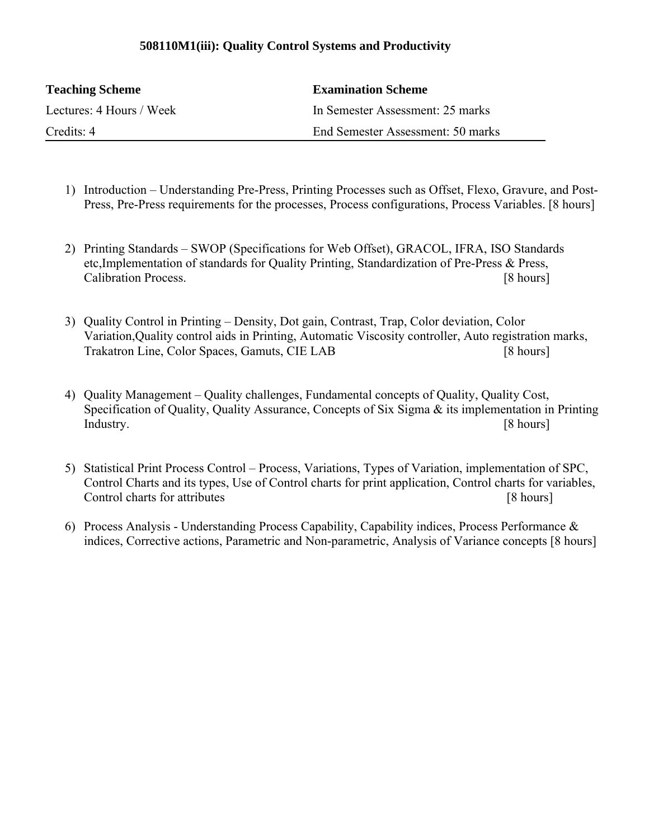## **508110M1(iii): Quality Control Systems and Productivity**

| <b>Teaching Scheme</b>   | <b>Examination Scheme</b>         |
|--------------------------|-----------------------------------|
| Lectures: 4 Hours / Week | In Semester Assessment: 25 marks  |
| Credits: 4               | End Semester Assessment: 50 marks |

- 1) Introduction Understanding Pre-Press, Printing Processes such as Offset, Flexo, Gravure, and Post-Press, Pre-Press requirements for the processes, Process configurations, Process Variables. [8 hours]
- 2) Printing Standards SWOP (Specifications for Web Offset), GRACOL, IFRA, ISO Standards etc,Implementation of standards for Quality Printing, Standardization of Pre-Press & Press, Calibration Process. [8 hours]
- 3) Quality Control in Printing Density, Dot gain, Contrast, Trap, Color deviation, Color Variation,Quality control aids in Printing, Automatic Viscosity controller, Auto registration marks, Trakatron Line, Color Spaces, Gamuts, CIE LAB [8 hours]
- 4) Quality Management Quality challenges, Fundamental concepts of Quality, Quality Cost, Specification of Quality, Quality Assurance, Concepts of Six Sigma & its implementation in Printing Industry. [8 hours]
- 5) Statistical Print Process Control Process, Variations, Types of Variation, implementation of SPC, Control Charts and its types, Use of Control charts for print application, Control charts for variables, Control charts for attributes **Exercise 2.1** and 2.8 hours]
- 6) Process Analysis Understanding Process Capability, Capability indices, Process Performance  $\&$ indices, Corrective actions, Parametric and Non-parametric, Analysis of Variance concepts [8 hours]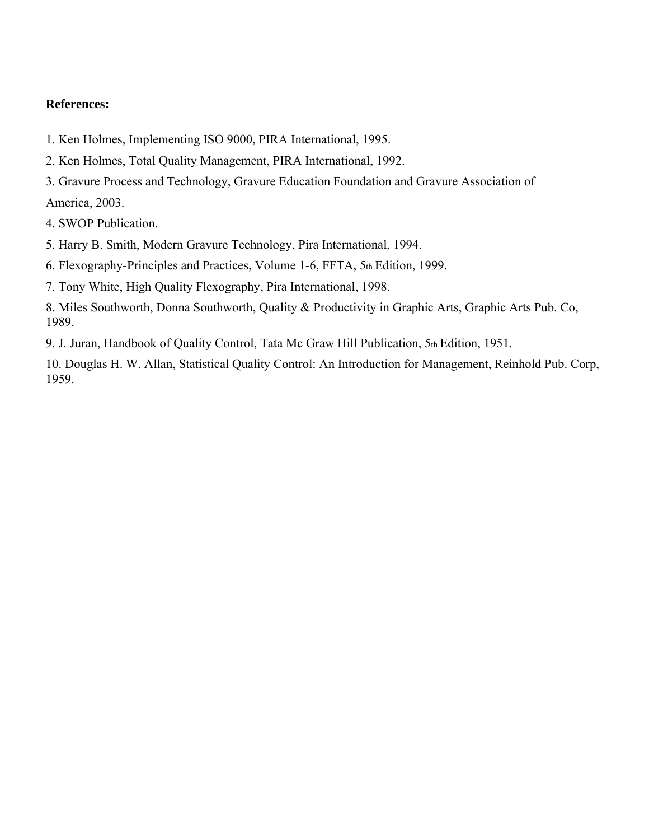- 1. Ken Holmes, Implementing ISO 9000, PIRA International, 1995.
- 2. Ken Holmes, Total Quality Management, PIRA International, 1992.
- 3. Gravure Process and Technology, Gravure Education Foundation and Gravure Association of America, 2003.

4. SWOP Publication.

- 5. Harry B. Smith, Modern Gravure Technology, Pira International, 1994.
- 6. Flexography-Principles and Practices, Volume 1-6, FFTA, 5th Edition, 1999.

7. Tony White, High Quality Flexography, Pira International, 1998.

8. Miles Southworth, Donna Southworth, Quality & Productivity in Graphic Arts, Graphic Arts Pub. Co, 1989.

9. J. Juran, Handbook of Quality Control, Tata Mc Graw Hill Publication, 5th Edition, 1951.

10. Douglas H. W. Allan, Statistical Quality Control: An Introduction for Management, Reinhold Pub. Corp, 1959.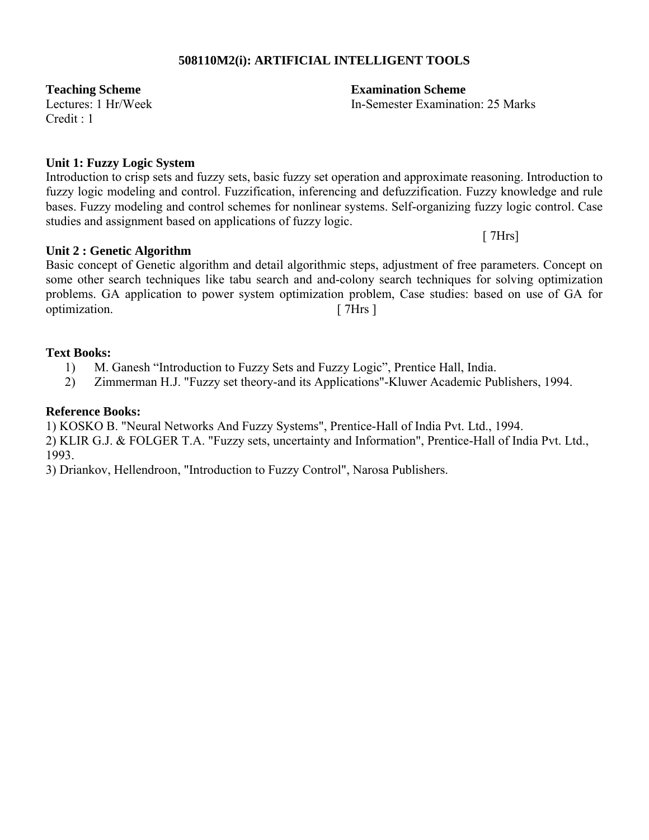## **508110M2(i): ARTIFICIAL INTELLIGENT TOOLS**

 $C$ redit  $\cdot$  1

## **Unit 1: Fuzzy Logic System**

Introduction to crisp sets and fuzzy sets, basic fuzzy set operation and approximate reasoning. Introduction to fuzzy logic modeling and control. Fuzzification, inferencing and defuzzification. Fuzzy knowledge and rule bases. Fuzzy modeling and control schemes for nonlinear systems. Self-organizing fuzzy logic control. Case studies and assignment based on applications of fuzzy logic.

## **Unit 2 : Genetic Algorithm**

Basic concept of Genetic algorithm and detail algorithmic steps, adjustment of free parameters. Concept on some other search techniques like tabu search and and-colony search techniques for solving optimization problems. GA application to power system optimization problem, Case studies: based on use of GA for optimization. [ 7Hrs ]

#### **Text Books:**

- 1) M. Ganesh "Introduction to Fuzzy Sets and Fuzzy Logic", Prentice Hall, India.
- 2) Zimmerman H.J. "Fuzzy set theory-and its Applications"-Kluwer Academic Publishers, 1994.

## **Reference Books:**

1) KOSKO B. "Neural Networks And Fuzzy Systems", Prentice-Hall of India Pvt. Ltd., 1994.

2) KLIR G.J. & FOLGER T.A. "Fuzzy sets, uncertainty and Information", Prentice-Hall of India Pvt. Ltd., 1993.

3) Driankov, Hellendroon, "Introduction to Fuzzy Control", Narosa Publishers.

**Teaching Scheme Examination Scheme**

Lectures: 1 Hr/Week In-Semester Examination: 25 Marks

[ 7Hrs]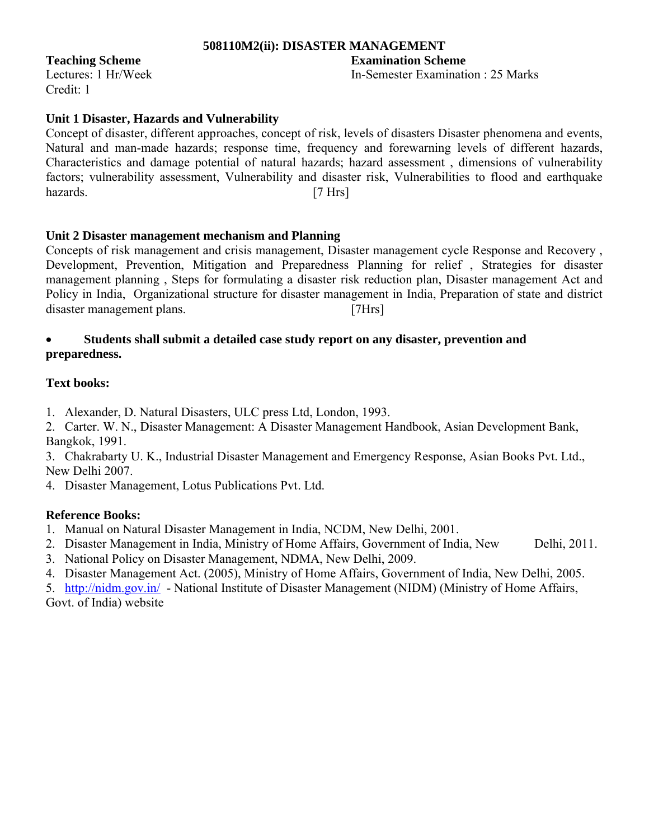## **508110M2(ii): DISASTER MANAGEMENT**

Credit: 1

## **Teaching Scheme Examination Scheme**

Lectures: 1 Hr/Week In-Semester Examination : 25 Marks

## **Unit 1 Disaster, Hazards and Vulnerability**

Concept of disaster, different approaches, concept of risk, levels of disasters Disaster phenomena and events, Natural and man-made hazards; response time, frequency and forewarning levels of different hazards, Characteristics and damage potential of natural hazards; hazard assessment , dimensions of vulnerability factors; vulnerability assessment, Vulnerability and disaster risk, Vulnerabilities to flood and earthquake hazards. [7 Hrs]

## **Unit 2 Disaster management mechanism and Planning**

Concepts of risk management and crisis management, Disaster management cycle Response and Recovery , Development, Prevention, Mitigation and Preparedness Planning for relief , Strategies for disaster management planning , Steps for formulating a disaster risk reduction plan, Disaster management Act and Policy in India, Organizational structure for disaster management in India, Preparation of state and district disaster management plans. [7Hrs]

## **Students shall submit a detailed case study report on any disaster, prevention and preparedness.**

## **Text books:**

1. Alexander, D. Natural Disasters, ULC press Ltd, London, 1993.

2. Carter. W. N., Disaster Management: A Disaster Management Handbook, Asian Development Bank, Bangkok, 1991.

3. Chakrabarty U. K., Industrial Disaster Management and Emergency Response, Asian Books Pvt. Ltd., New Delhi 2007.

4. Disaster Management, Lotus Publications Pvt. Ltd.

## **Reference Books:**

- 1. Manual on Natural Disaster Management in India, NCDM, New Delhi, 2001.
- 2. Disaster Management in India, Ministry of Home Affairs, Government of India, New Delhi, 2011.
- 3. National Policy on Disaster Management, NDMA, New Delhi, 2009.
- 4. Disaster Management Act. (2005), Ministry of Home Affairs, Government of India, New Delhi, 2005.

5. http://nidm.gov.in/ - National Institute of Disaster Management (NIDM) (Ministry of Home Affairs, Govt. of India) website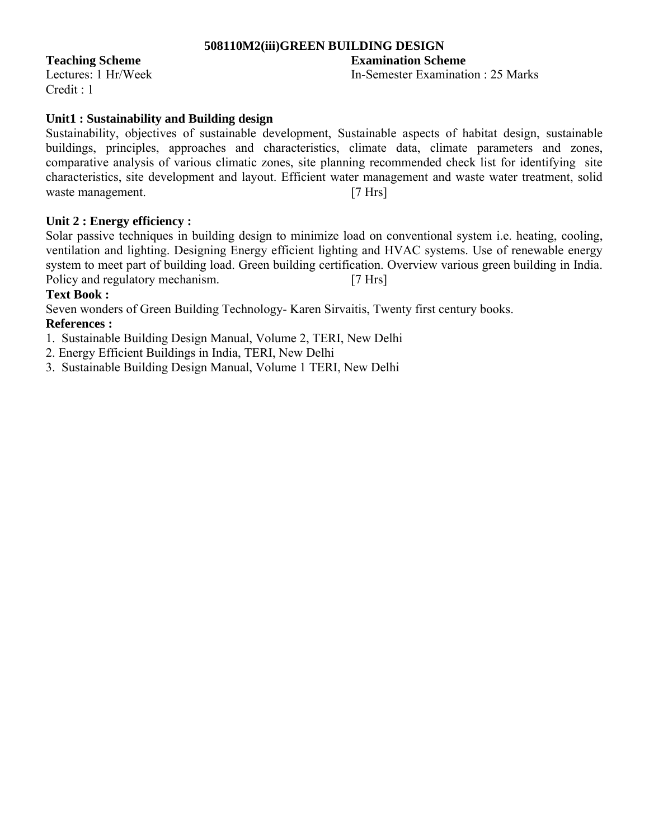## **508110M2(iii)GREEN BUILDING DESIGN**

Credit : 1

## **Teaching Scheme Examination Scheme**

Lectures: 1 Hr/Week In-Semester Examination : 25 Marks

## **Unit1 : Sustainability and Building design**

Sustainability, objectives of sustainable development, Sustainable aspects of habitat design, sustainable buildings, principles, approaches and characteristics, climate data, climate parameters and zones, comparative analysis of various climatic zones, site planning recommended check list for identifying site characteristics, site development and layout. Efficient water management and waste water treatment, solid waste management. [7 Hrs]

## **Unit 2 : Energy efficiency :**

Solar passive techniques in building design to minimize load on conventional system i.e. heating, cooling, ventilation and lighting. Designing Energy efficient lighting and HVAC systems. Use of renewable energy system to meet part of building load. Green building certification. Overview various green building in India. Policy and regulatory mechanism. [7 Hrs]

## **Text Book :**

Seven wonders of Green Building Technology- Karen Sirvaitis, Twenty first century books.

## **References :**

1. Sustainable Building Design Manual, Volume 2, TERI, New Delhi

2. Energy Efficient Buildings in India, TERI, New Delhi

3. Sustainable Building Design Manual, Volume 1 TERI, New Delhi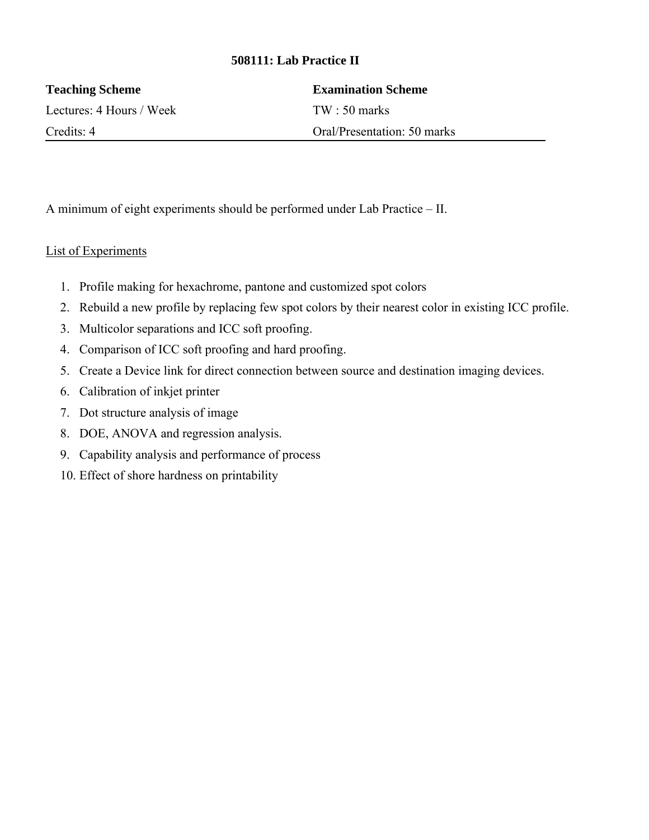## **508111: Lab Practice II**

| <b>Teaching Scheme</b>   | <b>Examination Scheme</b>   |
|--------------------------|-----------------------------|
| Lectures: 4 Hours / Week | $TW \cdot 50$ marks         |
| Credits: 4               | Oral/Presentation: 50 marks |

A minimum of eight experiments should be performed under Lab Practice – II.

## List of Experiments

- 1. Profile making for hexachrome, pantone and customized spot colors
- 2. Rebuild a new profile by replacing few spot colors by their nearest color in existing ICC profile.
- 3. Multicolor separations and ICC soft proofing.
- 4. Comparison of ICC soft proofing and hard proofing.
- 5. Create a Device link for direct connection between source and destination imaging devices.
- 6. Calibration of inkjet printer
- 7. Dot structure analysis of image
- 8. DOE, ANOVA and regression analysis.
- 9. Capability analysis and performance of process
- 10. Effect of shore hardness on printability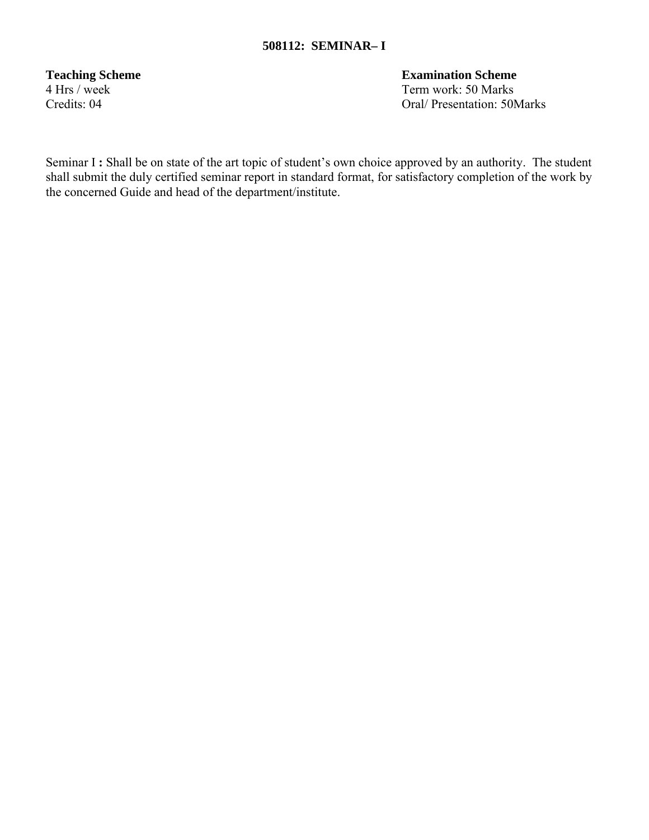**Teaching Scheme**<br>
4 Hrs / week<br> **Term work:** 50 Marks Term work: 50 Marks Credits: 04 Oral/ Presentation: 50Marks

Seminar I : Shall be on state of the art topic of student's own choice approved by an authority. The student shall submit the duly certified seminar report in standard format, for satisfactory completion of the work by the concerned Guide and head of the department/institute.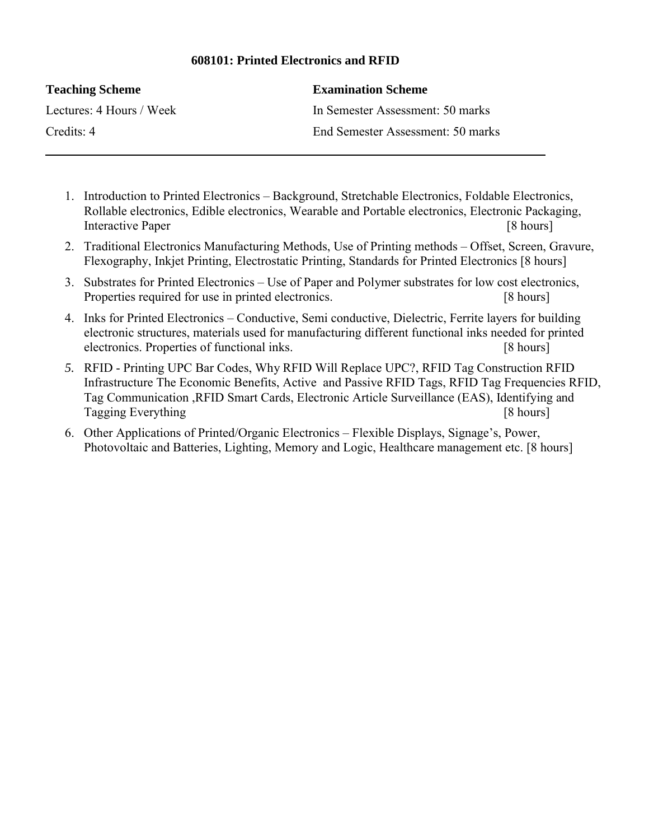## **608101: Printed Electronics and RFID**

| <b>Teaching Scheme</b>   | <b>Examination Scheme</b>         |
|--------------------------|-----------------------------------|
| Lectures: 4 Hours / Week | In Semester Assessment: 50 marks  |
| Credits: 4               | End Semester Assessment: 50 marks |

- 1. Introduction to Printed Electronics Background, Stretchable Electronics, Foldable Electronics, Rollable electronics, Edible electronics, Wearable and Portable electronics, Electronic Packaging, Interactive Paper [8 hours]
- 2. Traditional Electronics Manufacturing Methods, Use of Printing methods Offset, Screen, Gravure, Flexography, Inkjet Printing, Electrostatic Printing, Standards for Printed Electronics [8 hours]
- 3. Substrates for Printed Electronics Use of Paper and Polymer substrates for low cost electronics, Properties required for use in printed electronics. [8 hours]
- 4. Inks for Printed Electronics Conductive, Semi conductive, Dielectric, Ferrite layers for building electronic structures, materials used for manufacturing different functional inks needed for printed electronics. Properties of functional inks. [8 hours]
- *5.* RFID Printing UPC Bar Codes, Why RFID Will Replace UPC?, RFID Tag Construction RFID Infrastructure The Economic Benefits, Active and Passive RFID Tags, RFID Tag Frequencies RFID, Tag Communication ,RFID Smart Cards, Electronic Article Surveillance (EAS), Identifying and Tagging Everything[8 hours]
- 6. Other Applications of Printed/Organic Electronics Flexible Displays, Signage's, Power, Photovoltaic and Batteries, Lighting, Memory and Logic, Healthcare management etc. [8 hours]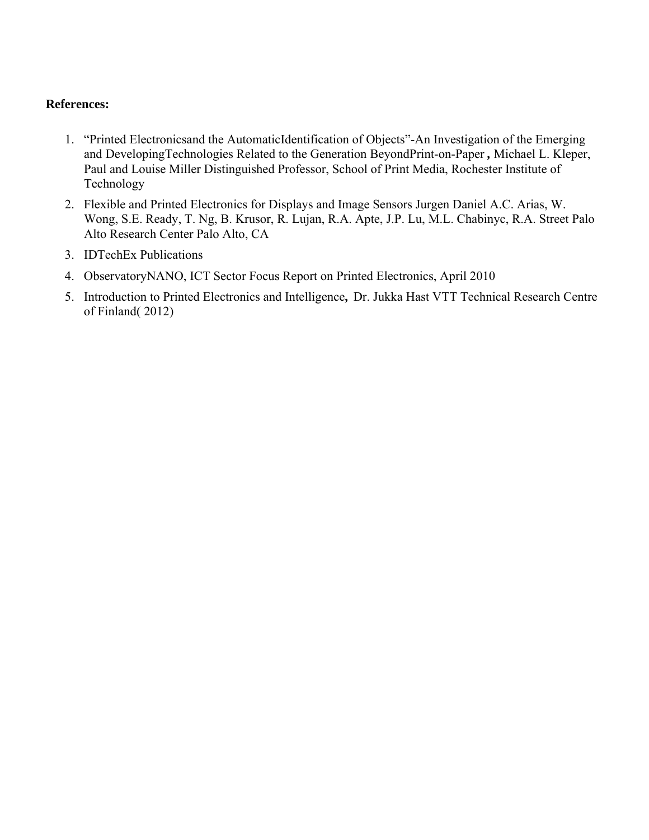- 1. "Printed Electronicsand the AutomaticIdentification of Objects"-An Investigation of the Emerging and DevelopingTechnologies Related to the Generation BeyondPrint-on-Paper *,* Michael L. Kleper, Paul and Louise Miller Distinguished Professor, School of Print Media, Rochester Institute of Technology
- 2. Flexible and Printed Electronics for Displays and Image Sensors Jurgen Daniel A.C. Arias, W. Wong, S.E. Ready, T. Ng, B. Krusor, R. Lujan, R.A. Apte, J.P. Lu, M.L. Chabinyc, R.A. Street Palo Alto Research Center Palo Alto, CA
- 3. IDTechEx Publications
- 4. ObservatoryNANO, ICT Sector Focus Report on Printed Electronics, April 2010
- 5. Introduction to Printed Electronics and Intelligence**,** Dr. Jukka Hast VTT Technical Research Centre of Finland( 2012)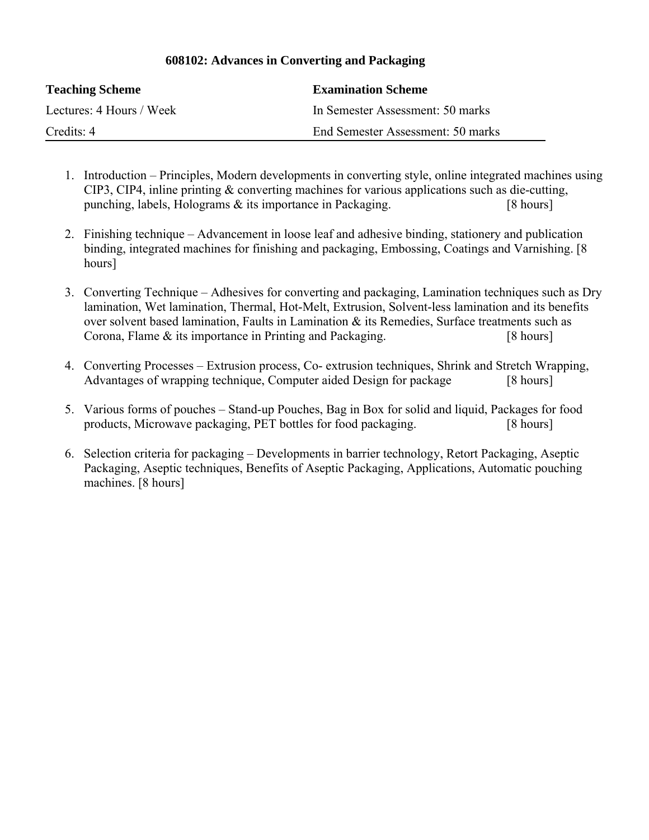| <b>Teaching Scheme</b>   | <b>Examination Scheme</b>         |
|--------------------------|-----------------------------------|
| Lectures: 4 Hours / Week | In Semester Assessment: 50 marks  |
| Credits: 4               | End Semester Assessment: 50 marks |

## **608102: Advances in Converting and Packaging**

- 1. Introduction Principles, Modern developments in converting style, online integrated machines using CIP3, CIP4, inline printing & converting machines for various applications such as die-cutting, punching, labels, Holograms & its importance in Packaging. [8 hours]
- 2. Finishing technique Advancement in loose leaf and adhesive binding, stationery and publication binding, integrated machines for finishing and packaging, Embossing, Coatings and Varnishing. [8 hours]
- 3. Converting Technique Adhesives for converting and packaging, Lamination techniques such as Dry lamination, Wet lamination, Thermal, Hot-Melt, Extrusion, Solvent-less lamination and its benefits over solvent based lamination, Faults in Lamination & its Remedies, Surface treatments such as Corona, Flame & its importance in Printing and Packaging. [8 hours]
- 4. Converting Processes Extrusion process, Co- extrusion techniques, Shrink and Stretch Wrapping, Advantages of wrapping technique, Computer aided Design for package [8 hours]
- 5. Various forms of pouches Stand-up Pouches, Bag in Box for solid and liquid, Packages for food products, Microwave packaging, PET bottles for food packaging. [8 hours]
- 6. Selection criteria for packaging Developments in barrier technology, Retort Packaging, Aseptic Packaging, Aseptic techniques, Benefits of Aseptic Packaging, Applications, Automatic pouching machines. [8 hours]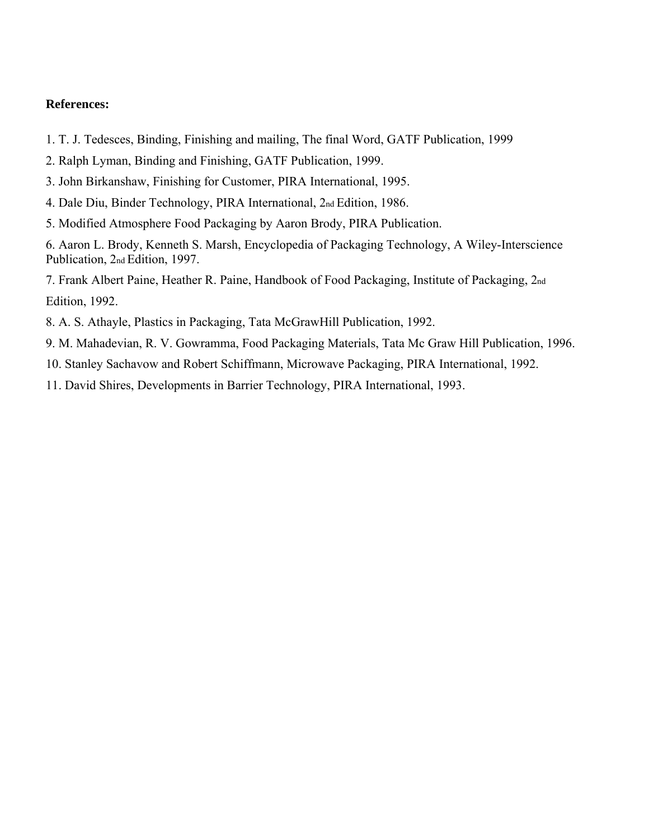- 1. T. J. Tedesces, Binding, Finishing and mailing, The final Word, GATF Publication, 1999
- 2. Ralph Lyman, Binding and Finishing, GATF Publication, 1999.
- 3. John Birkanshaw, Finishing for Customer, PIRA International, 1995.
- 4. Dale Diu, Binder Technology, PIRA International, 2nd Edition, 1986.
- 5. Modified Atmosphere Food Packaging by Aaron Brody, PIRA Publication.

6. Aaron L. Brody, Kenneth S. Marsh, Encyclopedia of Packaging Technology, A Wiley-Interscience Publication, 2nd Edition, 1997.

7. Frank Albert Paine, Heather R. Paine, Handbook of Food Packaging, Institute of Packaging, 2nd Edition, 1992.

- 8. A. S. Athayle, Plastics in Packaging, Tata McGrawHill Publication, 1992.
- 9. M. Mahadevian, R. V. Gowramma, Food Packaging Materials, Tata Mc Graw Hill Publication, 1996.
- 10. Stanley Sachavow and Robert Schiffmann, Microwave Packaging, PIRA International, 1992.
- 11. David Shires, Developments in Barrier Technology, PIRA International, 1993.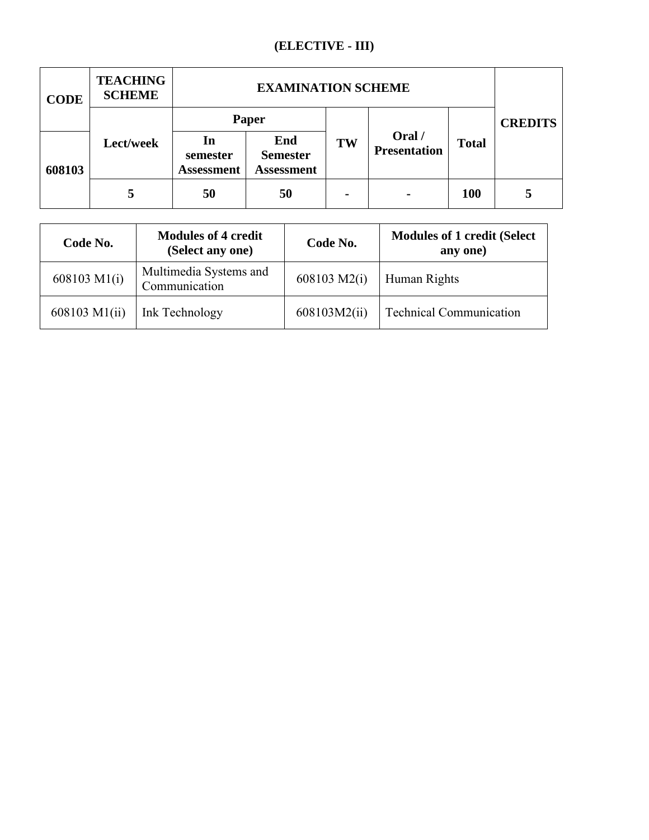## **(ELECTIVE - III)**

| <b>CODE</b> | <b>TEACHING</b><br><b>SCHEME</b> | <b>EXAMINATION SCHEME</b>           |                                             |                |                               |                |   |
|-------------|----------------------------------|-------------------------------------|---------------------------------------------|----------------|-------------------------------|----------------|---|
|             | Paper                            |                                     |                                             |                |                               | <b>CREDITS</b> |   |
| 608103      | Lect/week                        | In<br>semester<br><b>Assessment</b> | End<br><b>Semester</b><br><b>Assessment</b> | TW             | Oral /<br><b>Presentation</b> | <b>Total</b>   |   |
|             | 5                                | 50                                  | 50                                          | $\blacksquare$ | $\blacksquare$                | 100            | 5 |

| Code No.      | <b>Modules of 4 credit</b><br>(Select any one) | Code No.     | <b>Modules of 1 credit (Select</b><br>any one) |
|---------------|------------------------------------------------|--------------|------------------------------------------------|
| 608103 M1(i)  | Multimedia Systems and<br>Communication        | 608103 M2(i) | Human Rights                                   |
| 608103 M1(ii) | Ink Technology                                 | 608103M2(ii) | <b>Technical Communication</b>                 |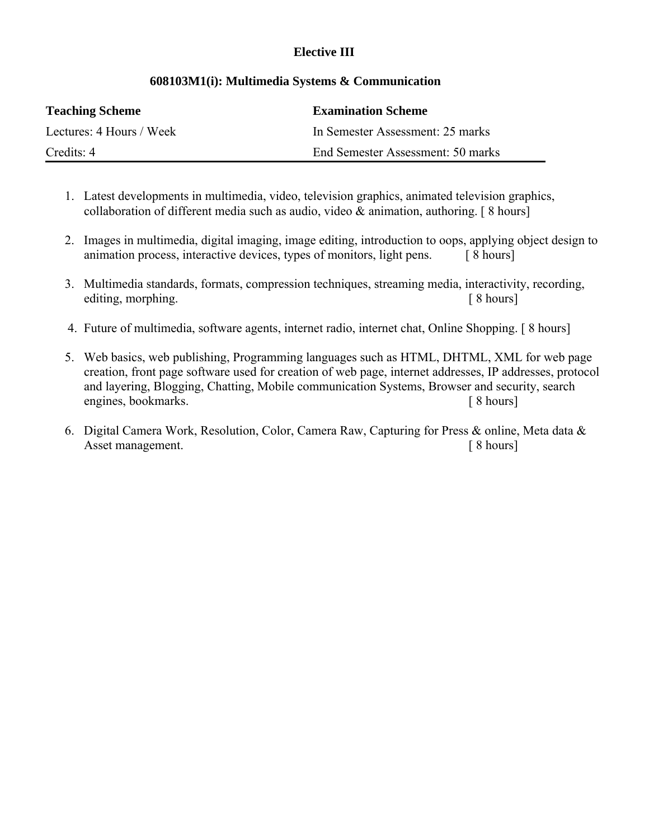## **Elective III**

| <b>Teaching Scheme</b>   | <b>Examination Scheme</b>         |
|--------------------------|-----------------------------------|
| Lectures: 4 Hours / Week | In Semester Assessment: 25 marks  |
| Credits: 4               | End Semester Assessment: 50 marks |

## **608103M1(i): Multimedia Systems & Communication**

- 1. Latest developments in multimedia, video, television graphics, animated television graphics, collaboration of different media such as audio, video  $\&$  animation, authoring. [8 hours]
- 2. Images in multimedia, digital imaging, image editing, introduction to oops, applying object design to animation process, interactive devices, types of monitors, light pens. [8 hours]
- 3. Multimedia standards, formats, compression techniques, streaming media, interactivity, recording, editing, morphing. The same state of the state of the state of the state of the state of the state of the state of the state of the state of the state of the state of the state of the state of the state of the state of the
- 4. Future of multimedia, software agents, internet radio, internet chat, Online Shopping. [ 8 hours]
- 5. Web basics, web publishing, Programming languages such as HTML, DHTML, XML for web page creation, front page software used for creation of web page, internet addresses, IP addresses, protocol and layering, Blogging, Chatting, Mobile communication Systems, Browser and security, search engines, bookmarks. [ 8 hours]
- 6. Digital Camera Work, Resolution, Color, Camera Raw, Capturing for Press & online, Meta data & Asset management.  $\lceil 8 \text{ hours} \rceil$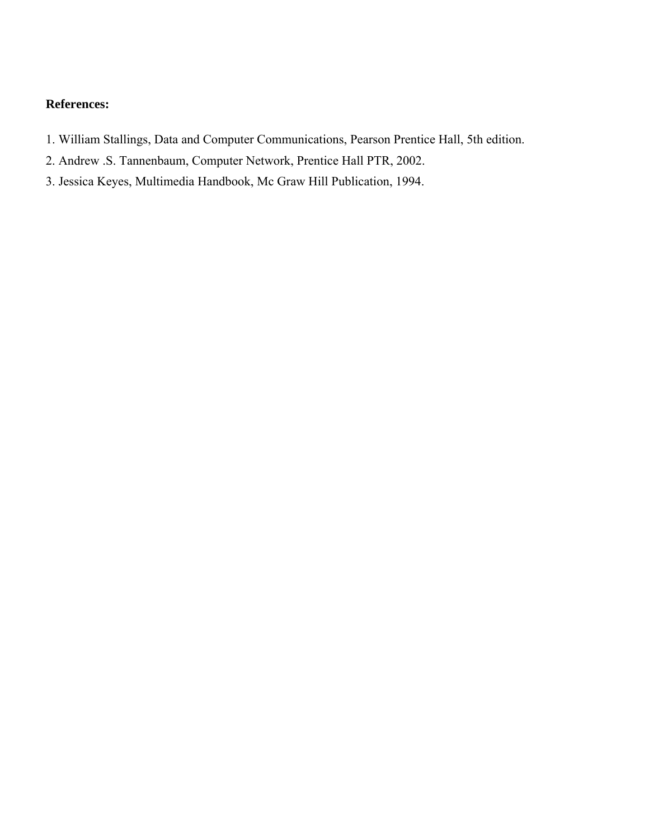- 1. William Stallings, Data and Computer Communications, Pearson Prentice Hall, 5th edition.
- 2. Andrew .S. Tannenbaum, Computer Network, Prentice Hall PTR, 2002.
- 3. Jessica Keyes, Multimedia Handbook, Mc Graw Hill Publication, 1994.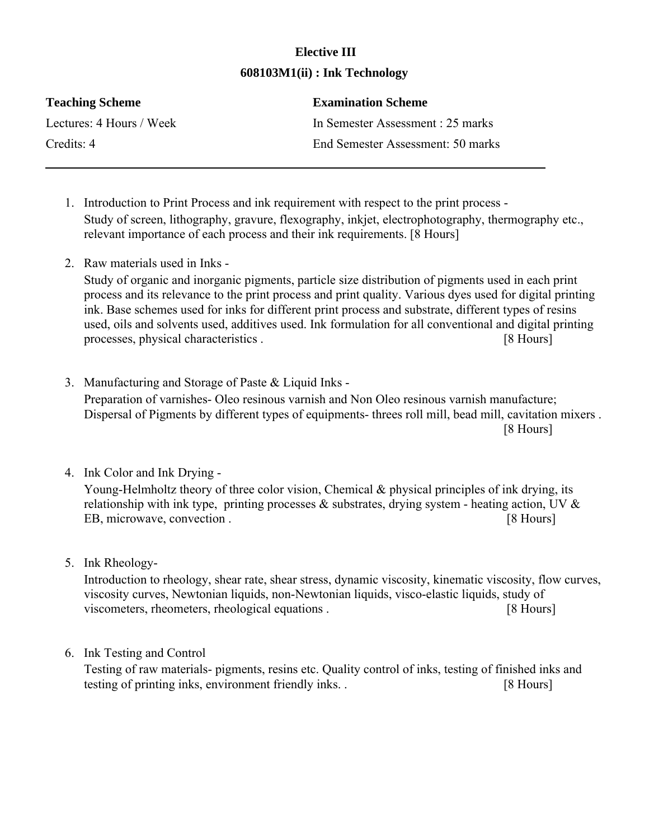## **Elective III 608103M1(ii) : Ink Technology**

| <b>Teaching Scheme</b>   | <b>Examination Scheme</b>         |
|--------------------------|-----------------------------------|
| Lectures: 4 Hours / Week | In Semester Assessment : 25 marks |
| Credits: 4               | End Semester Assessment: 50 marks |

- 1. Introduction to Print Process and ink requirement with respect to the print process Study of screen, lithography, gravure, flexography, inkjet, electrophotography, thermography etc., relevant importance of each process and their ink requirements. [8 Hours]
- 2. Raw materials used in Inks -

Study of organic and inorganic pigments, particle size distribution of pigments used in each print process and its relevance to the print process and print quality. Various dyes used for digital printing ink. Base schemes used for inks for different print process and substrate, different types of resins used, oils and solvents used, additives used. Ink formulation for all conventional and digital printing processes, physical characteristics . [8 Hours]

- 3. Manufacturing and Storage of Paste & Liquid Inks Preparation of varnishes- Oleo resinous varnish and Non Oleo resinous varnish manufacture; Dispersal of Pigments by different types of equipments- threes roll mill, bead mill, cavitation mixers . [8 Hours]
- 4. Ink Color and Ink Drying -

Young-Helmholtz theory of three color vision, Chemical & physical principles of ink drying, its relationship with ink type, printing processes  $\&$  substrates, drying system - heating action, UV  $\&$ EB, microwave, convection . [8 Hours]

5. Ink Rheology-

Introduction to rheology, shear rate, shear stress, dynamic viscosity, kinematic viscosity, flow curves, viscosity curves, Newtonian liquids, non-Newtonian liquids, visco-elastic liquids, study of viscometers, rheometers, rheological equations . [8 Hours]

6. Ink Testing and Control

Testing of raw materials- pigments, resins etc. Quality control of inks, testing of finished inks and testing of printing inks, environment friendly inks. . [8 Hours]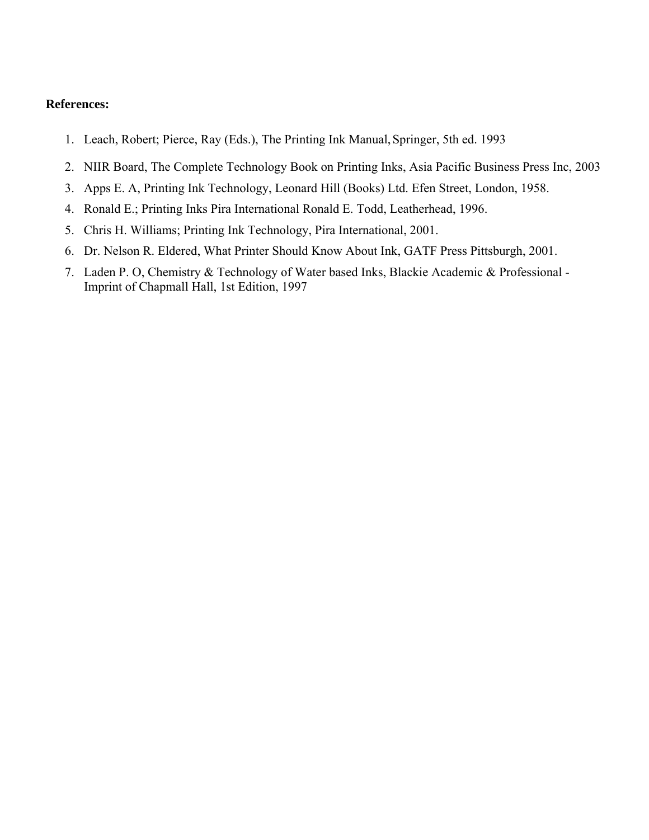- 1. Leach, Robert; Pierce, Ray (Eds.), The Printing Ink Manual,Springer, 5th ed. 1993
- 2. NIIR Board, The Complete Technology Book on Printing Inks, Asia Pacific Business Press Inc, 2003
- 3. Apps E. A, Printing Ink Technology, Leonard Hill (Books) Ltd. Efen Street, London, 1958.
- 4. Ronald E.; Printing Inks Pira International Ronald E. Todd, Leatherhead, 1996.
- 5. Chris H. Williams; Printing Ink Technology, Pira International, 2001.
- 6. Dr. Nelson R. Eldered, What Printer Should Know About Ink, GATF Press Pittsburgh, 2001.
- 7. Laden P. O, Chemistry & Technology of Water based Inks, Blackie Academic & Professional Imprint of Chapmall Hall, 1st Edition, 1997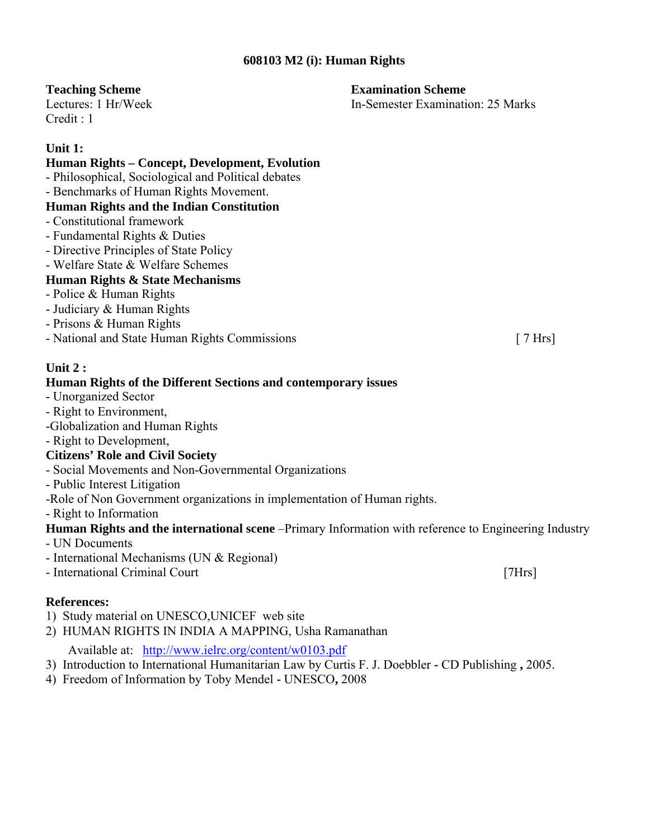## **608103 M2 (i): Human Rights**

 $C$ redit  $\cdot$  1

## **Unit 1:**

## **Human Rights – Concept, Development, Evolution**

- Philosophical, Sociological and Political debates
- Benchmarks of Human Rights Movement.

## **Human Rights and the Indian Constitution**

- Constitutional framework
- Fundamental Rights & Duties
- Directive Principles of State Policy
- Welfare State & Welfare Schemes

## **Human Rights & State Mechanisms**

- Police & Human Rights
- Judiciary & Human Rights
- Prisons & Human Rights
- National and State Human Rights Commissions [ 7 Hrs]

## **Unit 2 :**

## **Human Rights of the Different Sections and contemporary issues**

- Unorganized Sector
- Right to Environment,
- -Globalization and Human Rights
- Right to Development,

## **Citizens' Role and Civil Society**

- Social Movements and Non-Governmental Organizations
- Public Interest Litigation
- -Role of Non Government organizations in implementation of Human rights.
- Right to Information

## **Human Rights and the international scene** –Primary Information with reference to Engineering Industry

- UN Documents
- International Mechanisms (UN & Regional)
- International Criminal Court [7Hrs]

## **References:**

- 1) Study material on UNESCO,UNICEF web site
- 2) HUMAN RIGHTS IN INDIA A MAPPING, Usha Ramanathan

Available at: http://www.ielrc.org/content/w0103.pdf

- 3) Introduction to International Humanitarian Law by Curtis F. J. Doebbler **-** CD Publishing **,** 2005.
- 4)Freedom of Information by Toby Mendel **-** UNESCO**,** 2008

**Teaching Scheme Examination Scheme Examination Scheme** 

Lectures: 1 Hr/Week In-Semester Examination: 25 Marks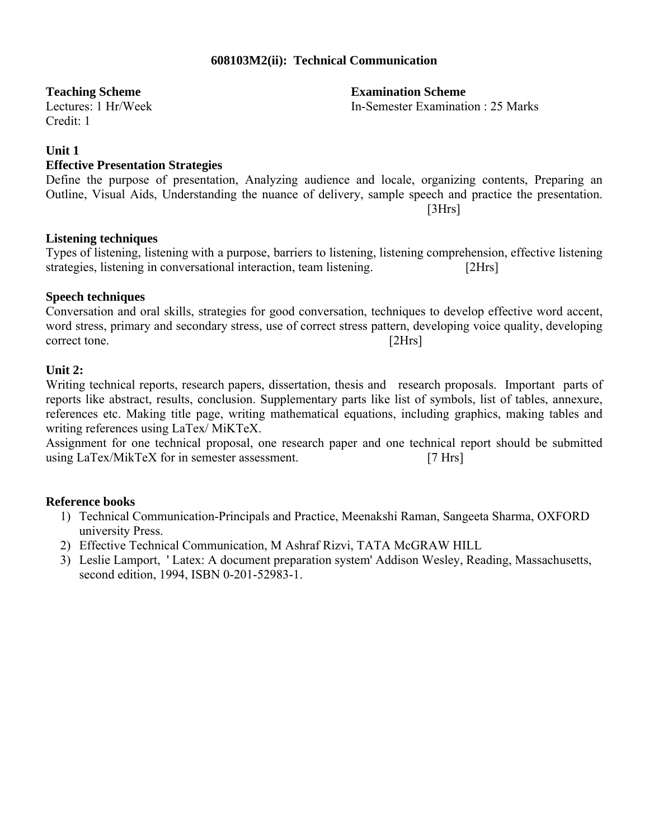## **608103M2(ii): Technical Communication**

Credit: 1

#### **Unit 1**

## **Effective Presentation Strategies**

Define the purpose of presentation, Analyzing audience and locale, organizing contents, Preparing an Outline, Visual Aids, Understanding the nuance of delivery, sample speech and practice the presentation. [3Hrs]

## **Listening techniques**

Types of listening, listening with a purpose, barriers to listening, listening comprehension, effective listening strategies, listening in conversational interaction, team listening. [2Hrs]

## **Speech techniques**

Conversation and oral skills, strategies for good conversation, techniques to develop effective word accent, word stress, primary and secondary stress, use of correct stress pattern, developing voice quality, developing correct tone. [2Hrs]

#### **Unit 2:**

Writing technical reports, research papers, dissertation, thesis and research proposals. Important parts of reports like abstract, results, conclusion. Supplementary parts like list of symbols, list of tables, annexure, references etc. Making title page, writing mathematical equations, including graphics, making tables and writing references using LaTex/ MiKTeX.

Assignment for one technical proposal, one research paper and one technical report should be submitted using LaTex/MikTeX for in semester assessment. [7 Hrs]

## **Reference books**

- 1) Technical Communication-Principals and Practice, Meenakshi Raman, Sangeeta Sharma, OXFORD university Press.
- 2) Effective Technical Communication, M Ashraf Rizvi, TATA McGRAW HILL
- 3) Leslie Lamport, ' Latex: A document preparation system' Addison Wesley, Reading, Massachusetts, second edition, 1994, ISBN 0-201-52983-1.

**Teaching Scheme**<br> **Teaching Scheme**<br> **Examination Scheme**<br> **Examination Scheme**<br> **Examination Scheme**<br> **Examination Scheme** In-Semester Examination : 25 Marks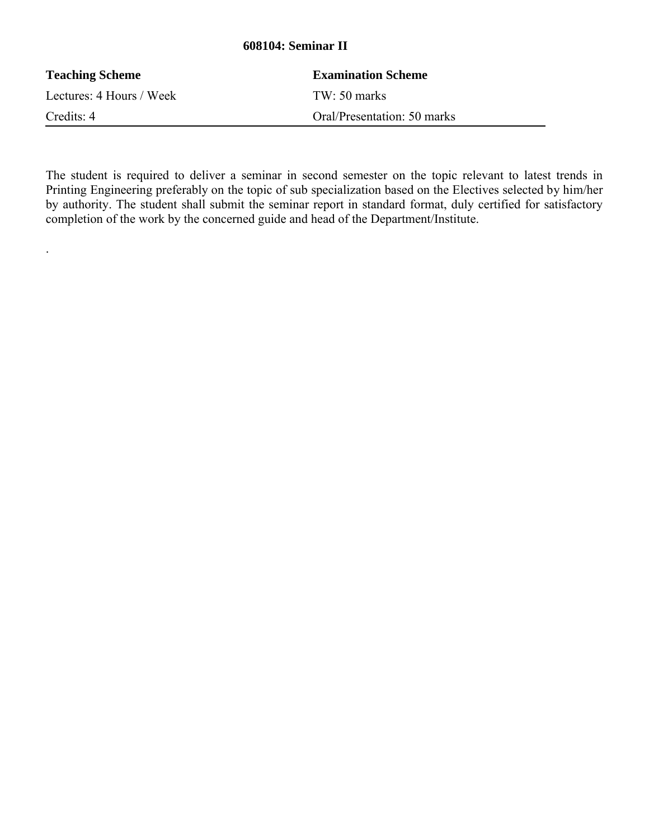## **608104: Seminar II**

| <b>Teaching Scheme</b>   | <b>Examination Scheme</b>   |
|--------------------------|-----------------------------|
| Lectures: 4 Hours / Week | $TW: 50 \text{ marks}$      |
| Credits: 4               | Oral/Presentation: 50 marks |

.

The student is required to deliver a seminar in second semester on the topic relevant to latest trends in Printing Engineering preferably on the topic of sub specialization based on the Electives selected by him/her by authority. The student shall submit the seminar report in standard format, duly certified for satisfactory completion of the work by the concerned guide and head of the Department/Institute.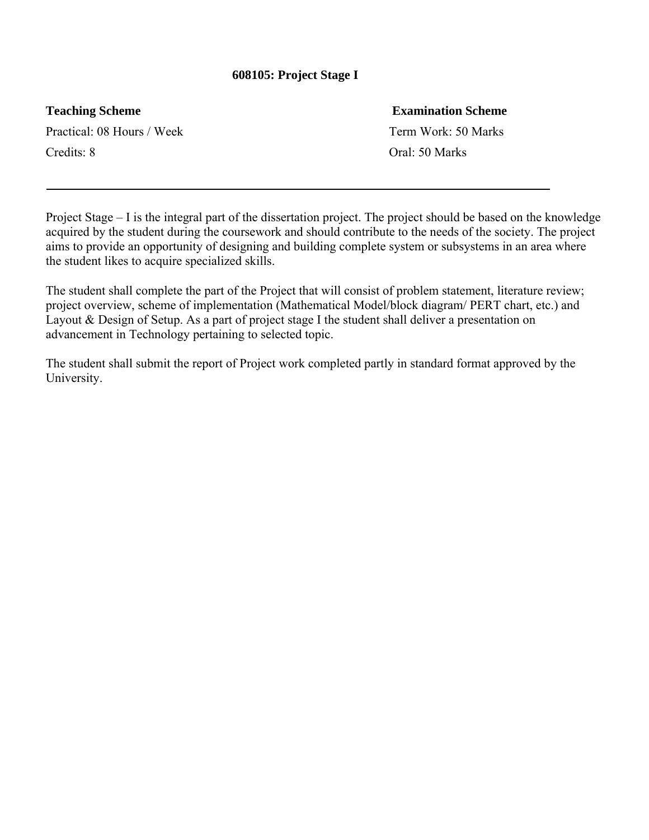## **608105: Project Stage I**

Practical: 08 Hours / Week Term Work: 50 Marks Credits: 8 Oral: 50 Marks

## **Teaching Scheme Examination Scheme**

Project Stage – I is the integral part of the dissertation project. The project should be based on the knowledge acquired by the student during the coursework and should contribute to the needs of the society. The project aims to provide an opportunity of designing and building complete system or subsystems in an area where the student likes to acquire specialized skills.

The student shall complete the part of the Project that will consist of problem statement, literature review; project overview, scheme of implementation (Mathematical Model/block diagram/ PERT chart, etc.) and Layout & Design of Setup. As a part of project stage I the student shall deliver a presentation on advancement in Technology pertaining to selected topic.

The student shall submit the report of Project work completed partly in standard format approved by the University.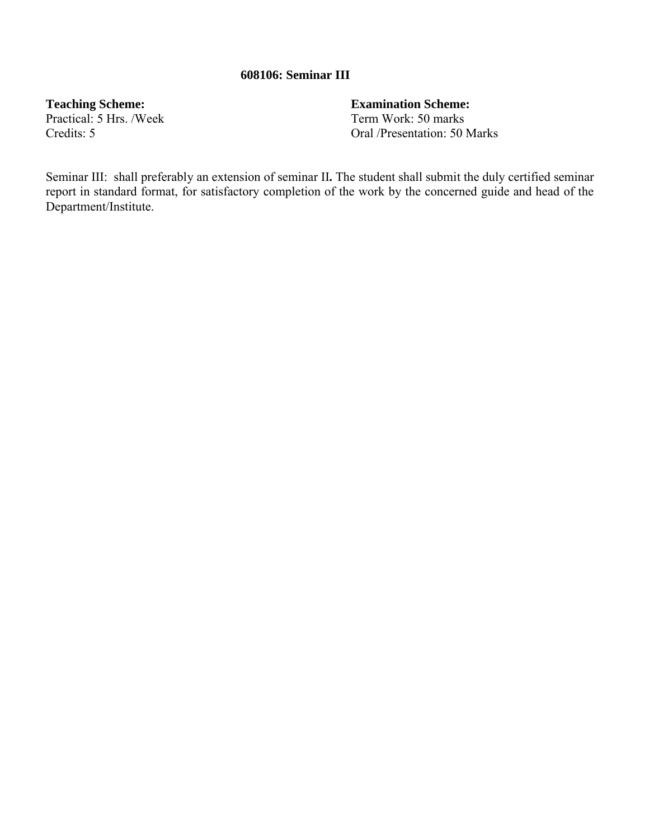## **608106: Seminar III**

Practical: 5 Hrs. /Week

**Teaching Scheme:**<br> **Practical:** 5 Hrs. /Week **Term Work:** 50 marks Credits: 5 Oral /Presentation: 50 Marks

Seminar III:shall preferably an extension of seminar II**.** The student shall submit the duly certified seminar report in standard format, for satisfactory completion of the work by the concerned guide and head of the Department/Institute.